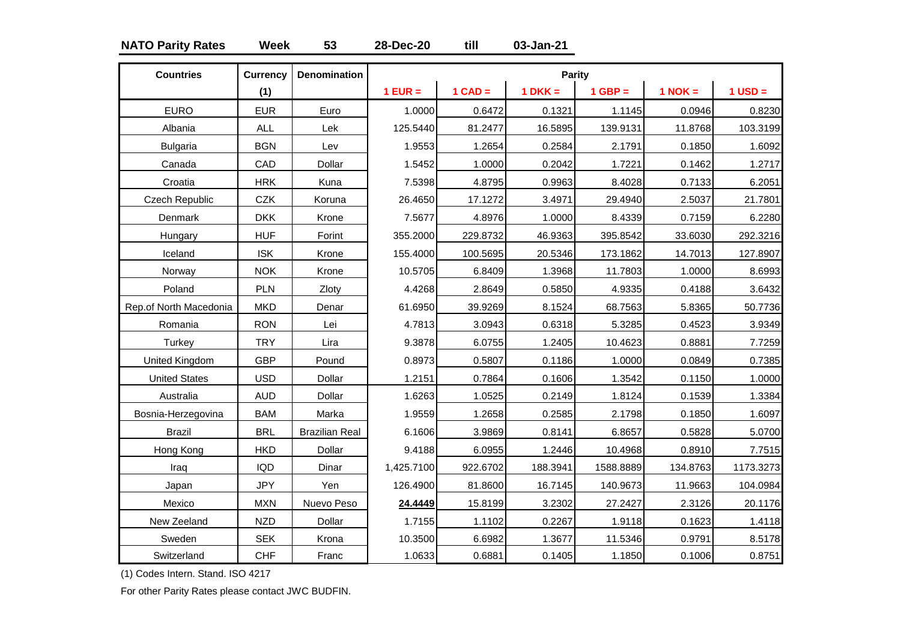### **NATO Parity Rates Week 53 28-Dec-20 till 03-Jan-21**

| <b>Countries</b>       | <b>Currency</b> | <b>Denomination</b>   |            |           | Parity    |           |             |             |
|------------------------|-----------------|-----------------------|------------|-----------|-----------|-----------|-------------|-------------|
|                        | (1)             |                       | $1$ EUR =  | $1$ CAD = | $1 DKK =$ | $1$ GBP = | $1$ NOK $=$ | $1$ USD $=$ |
| <b>EURO</b>            | <b>EUR</b>      | Euro                  | 1.0000     | 0.6472    | 0.1321    | 1.1145    | 0.0946      | 0.8230      |
| Albania                | <b>ALL</b>      | Lek                   | 125.5440   | 81.2477   | 16.5895   | 139.9131  | 11.8768     | 103.3199    |
| <b>Bulgaria</b>        | <b>BGN</b>      | Lev                   | 1.9553     | 1.2654    | 0.2584    | 2.1791    | 0.1850      | 1.6092      |
| Canada                 | CAD             | Dollar                | 1.5452     | 1.0000    | 0.2042    | 1.7221    | 0.1462      | 1.2717      |
| Croatia                | <b>HRK</b>      | Kuna                  | 7.5398     | 4.8795    | 0.9963    | 8.4028    | 0.7133      | 6.2051      |
| Czech Republic         | CZK             | Koruna                | 26.4650    | 17.1272   | 3.4971    | 29.4940   | 2.5037      | 21.7801     |
| Denmark                | <b>DKK</b>      | Krone                 | 7.5677     | 4.8976    | 1.0000    | 8.4339    | 0.7159      | 6.2280      |
| Hungary                | <b>HUF</b>      | Forint                | 355.2000   | 229.8732  | 46.9363   | 395.8542  | 33.6030     | 292.3216    |
| Iceland                | <b>ISK</b>      | Krone                 | 155.4000   | 100.5695  | 20.5346   | 173.1862  | 14.7013     | 127.8907    |
| Norway                 | <b>NOK</b>      | Krone                 | 10.5705    | 6.8409    | 1.3968    | 11.7803   | 1.0000      | 8.6993      |
| Poland                 | PLN             | Zloty                 | 4.4268     | 2.8649    | 0.5850    | 4.9335    | 0.4188      | 3.6432      |
| Rep.of North Macedonia | <b>MKD</b>      | Denar                 | 61.6950    | 39.9269   | 8.1524    | 68.7563   | 5.8365      | 50.7736     |
| Romania                | <b>RON</b>      | Lei                   | 4.7813     | 3.0943    | 0.6318    | 5.3285    | 0.4523      | 3.9349      |
| Turkey                 | <b>TRY</b>      | Lira                  | 9.3878     | 6.0755    | 1.2405    | 10.4623   | 0.8881      | 7.7259      |
| United Kingdom         | <b>GBP</b>      | Pound                 | 0.8973     | 0.5807    | 0.1186    | 1.0000    | 0.0849      | 0.7385      |
| <b>United States</b>   | <b>USD</b>      | Dollar                | 1.2151     | 0.7864    | 0.1606    | 1.3542    | 0.1150      | 1.0000      |
| Australia              | <b>AUD</b>      | Dollar                | 1.6263     | 1.0525    | 0.2149    | 1.8124    | 0.1539      | 1.3384      |
| Bosnia-Herzegovina     | <b>BAM</b>      | Marka                 | 1.9559     | 1.2658    | 0.2585    | 2.1798    | 0.1850      | 1.6097      |
| <b>Brazil</b>          | <b>BRL</b>      | <b>Brazilian Real</b> | 6.1606     | 3.9869    | 0.8141    | 6.8657    | 0.5828      | 5.0700      |
| Hong Kong              | <b>HKD</b>      | Dollar                | 9.4188     | 6.0955    | 1.2446    | 10.4968   | 0.8910      | 7.7515      |
| Iraq                   | <b>IQD</b>      | Dinar                 | 1,425.7100 | 922.6702  | 188.3941  | 1588.8889 | 134.8763    | 1173.3273   |
| Japan                  | <b>JPY</b>      | Yen                   | 126.4900   | 81.8600   | 16.7145   | 140.9673  | 11.9663     | 104.0984    |
| Mexico                 | <b>MXN</b>      | Nuevo Peso            | 24.4449    | 15.8199   | 3.2302    | 27.2427   | 2.3126      | 20.1176     |
| New Zeeland            | <b>NZD</b>      | Dollar                | 1.7155     | 1.1102    | 0.2267    | 1.9118    | 0.1623      | 1.4118      |
| Sweden                 | <b>SEK</b>      | Krona                 | 10.3500    | 6.6982    | 1.3677    | 11.5346   | 0.9791      | 8.5178      |
| Switzerland            | <b>CHF</b>      | Franc                 | 1.0633     | 0.6881    | 0.1405    | 1.1850    | 0.1006      | 0.8751      |

(1) Codes Intern. Stand. ISO 4217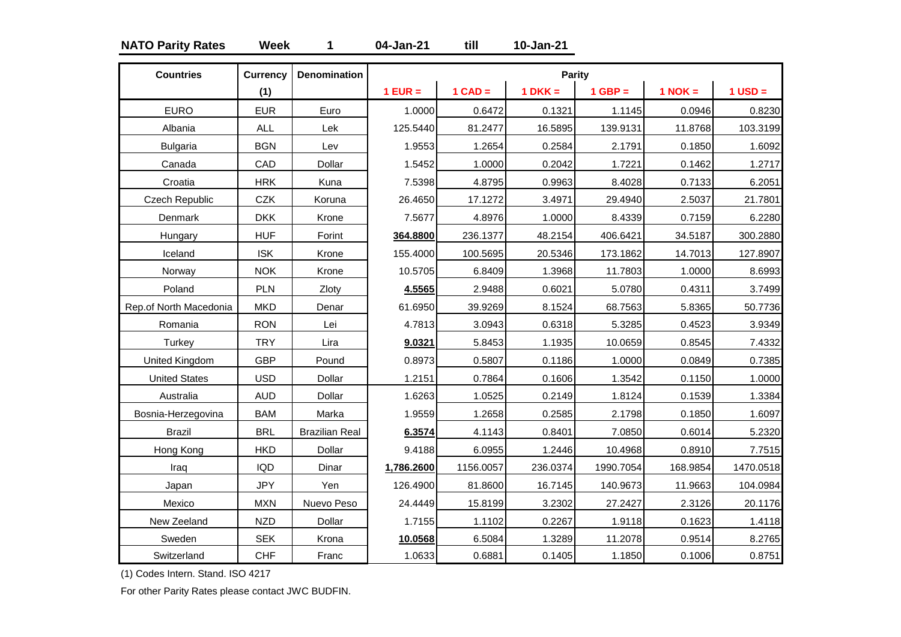### **NATO Parity Rates Week 1 04-Jan-21 till 10-Jan-21**

| <b>Countries</b>       | <b>Currency</b> | <b>Denomination</b>   |            |           | Parity    |           |           |             |
|------------------------|-----------------|-----------------------|------------|-----------|-----------|-----------|-----------|-------------|
|                        | (1)             |                       | $1$ EUR =  | $1$ CAD = | $1 DKK =$ | $1$ GBP = | $1$ NOK = | $1$ USD $=$ |
| <b>EURO</b>            | <b>EUR</b>      | Euro                  | 1.0000     | 0.6472    | 0.1321    | 1.1145    | 0.0946    | 0.8230      |
| Albania                | <b>ALL</b>      | Lek                   | 125.5440   | 81.2477   | 16.5895   | 139.9131  | 11.8768   | 103.3199    |
| <b>Bulgaria</b>        | <b>BGN</b>      | Lev                   | 1.9553     | 1.2654    | 0.2584    | 2.1791    | 0.1850    | 1.6092      |
| Canada                 | CAD             | Dollar                | 1.5452     | 1.0000    | 0.2042    | 1.7221    | 0.1462    | 1.2717      |
| Croatia                | <b>HRK</b>      | Kuna                  | 7.5398     | 4.8795    | 0.9963    | 8.4028    | 0.7133    | 6.2051      |
| Czech Republic         | <b>CZK</b>      | Koruna                | 26.4650    | 17.1272   | 3.4971    | 29.4940   | 2.5037    | 21.7801     |
| Denmark                | <b>DKK</b>      | Krone                 | 7.5677     | 4.8976    | 1.0000    | 8.4339    | 0.7159    | 6.2280      |
| Hungary                | <b>HUF</b>      | Forint                | 364.8800   | 236.1377  | 48.2154   | 406.6421  | 34.5187   | 300.2880    |
| Iceland                | <b>ISK</b>      | Krone                 | 155.4000   | 100.5695  | 20.5346   | 173.1862  | 14.7013   | 127.8907    |
| Norway                 | <b>NOK</b>      | Krone                 | 10.5705    | 6.8409    | 1.3968    | 11.7803   | 1.0000    | 8.6993      |
| Poland                 | PLN             | Zloty                 | 4.5565     | 2.9488    | 0.6021    | 5.0780    | 0.4311    | 3.7499      |
| Rep.of North Macedonia | <b>MKD</b>      | Denar                 | 61.6950    | 39.9269   | 8.1524    | 68.7563   | 5.8365    | 50.7736     |
| Romania                | <b>RON</b>      | Lei                   | 4.7813     | 3.0943    | 0.6318    | 5.3285    | 0.4523    | 3.9349      |
| Turkey                 | <b>TRY</b>      | Lira                  | 9.0321     | 5.8453    | 1.1935    | 10.0659   | 0.8545    | 7.4332      |
| United Kingdom         | <b>GBP</b>      | Pound                 | 0.8973     | 0.5807    | 0.1186    | 1.0000    | 0.0849    | 0.7385      |
| <b>United States</b>   | <b>USD</b>      | Dollar                | 1.2151     | 0.7864    | 0.1606    | 1.3542    | 0.1150    | 1.0000      |
| Australia              | <b>AUD</b>      | Dollar                | 1.6263     | 1.0525    | 0.2149    | 1.8124    | 0.1539    | 1.3384      |
| Bosnia-Herzegovina     | <b>BAM</b>      | Marka                 | 1.9559     | 1.2658    | 0.2585    | 2.1798    | 0.1850    | 1.6097      |
| <b>Brazil</b>          | <b>BRL</b>      | <b>Brazilian Real</b> | 6.3574     | 4.1143    | 0.8401    | 7.0850    | 0.6014    | 5.2320      |
| Hong Kong              | <b>HKD</b>      | Dollar                | 9.4188     | 6.0955    | 1.2446    | 10.4968   | 0.8910    | 7.7515      |
| Iraq                   | <b>IQD</b>      | Dinar                 | 1,786.2600 | 1156.0057 | 236.0374  | 1990.7054 | 168.9854  | 1470.0518   |
| Japan                  | <b>JPY</b>      | Yen                   | 126.4900   | 81.8600   | 16.7145   | 140.9673  | 11.9663   | 104.0984    |
| Mexico                 | <b>MXN</b>      | Nuevo Peso            | 24.4449    | 15.8199   | 3.2302    | 27.2427   | 2.3126    | 20.1176     |
| New Zeeland            | <b>NZD</b>      | Dollar                | 1.7155     | 1.1102    | 0.2267    | 1.9118    | 0.1623    | 1.4118      |
| Sweden                 | <b>SEK</b>      | Krona                 | 10.0568    | 6.5084    | 1.3289    | 11.2078   | 0.9514    | 8.2765      |
| Switzerland            | <b>CHF</b>      | Franc                 | 1.0633     | 0.6881    | 0.1405    | 1.1850    | 0.1006    | 0.8751      |

(1) Codes Intern. Stand. ISO 4217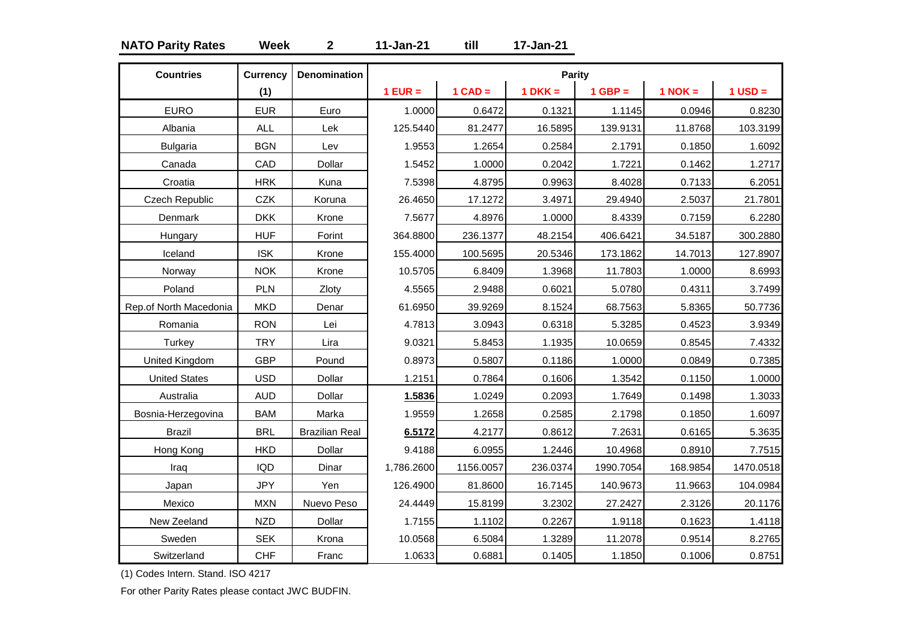### **NATO Parity Rates Week 2 11-Jan-21 till 17-Jan-21**

| <b>Countries</b>       | <b>Currency</b> | <b>Denomination</b>   |            |           | Parity    |           |           |             |
|------------------------|-----------------|-----------------------|------------|-----------|-----------|-----------|-----------|-------------|
|                        | (1)             |                       | $1$ EUR =  | $1$ CAD = | $1 DKK =$ | $1$ GBP = | $1$ NOK = | $1$ USD $=$ |
| <b>EURO</b>            | <b>EUR</b>      | Euro                  | 1.0000     | 0.6472    | 0.1321    | 1.1145    | 0.0946    | 0.8230      |
| Albania                | <b>ALL</b>      | Lek                   | 125.5440   | 81.2477   | 16.5895   | 139.9131  | 11.8768   | 103.3199    |
| <b>Bulgaria</b>        | <b>BGN</b>      | Lev                   | 1.9553     | 1.2654    | 0.2584    | 2.1791    | 0.1850    | 1.6092      |
| Canada                 | CAD             | Dollar                | 1.5452     | 1.0000    | 0.2042    | 1.7221    | 0.1462    | 1.2717      |
| Croatia                | <b>HRK</b>      | Kuna                  | 7.5398     | 4.8795    | 0.9963    | 8.4028    | 0.7133    | 6.2051      |
| Czech Republic         | <b>CZK</b>      | Koruna                | 26.4650    | 17.1272   | 3.4971    | 29.4940   | 2.5037    | 21.7801     |
| Denmark                | <b>DKK</b>      | Krone                 | 7.5677     | 4.8976    | 1.0000    | 8.4339    | 0.7159    | 6.2280      |
| Hungary                | <b>HUF</b>      | Forint                | 364.8800   | 236.1377  | 48.2154   | 406.6421  | 34.5187   | 300.2880    |
| Iceland                | <b>ISK</b>      | Krone                 | 155.4000   | 100.5695  | 20.5346   | 173.1862  | 14.7013   | 127.8907    |
| Norway                 | <b>NOK</b>      | Krone                 | 10.5705    | 6.8409    | 1.3968    | 11.7803   | 1.0000    | 8.6993      |
| Poland                 | PLN             | Zloty                 | 4.5565     | 2.9488    | 0.6021    | 5.0780    | 0.4311    | 3.7499      |
| Rep.of North Macedonia | <b>MKD</b>      | Denar                 | 61.6950    | 39.9269   | 8.1524    | 68.7563   | 5.8365    | 50.7736     |
| Romania                | <b>RON</b>      | Lei                   | 4.7813     | 3.0943    | 0.6318    | 5.3285    | 0.4523    | 3.9349      |
| Turkey                 | <b>TRY</b>      | Lira                  | 9.0321     | 5.8453    | 1.1935    | 10.0659   | 0.8545    | 7.4332      |
| United Kingdom         | <b>GBP</b>      | Pound                 | 0.8973     | 0.5807    | 0.1186    | 1.0000    | 0.0849    | 0.7385      |
| <b>United States</b>   | <b>USD</b>      | Dollar                | 1.2151     | 0.7864    | 0.1606    | 1.3542    | 0.1150    | 1.0000      |
| Australia              | <b>AUD</b>      | Dollar                | 1.5836     | 1.0249    | 0.2093    | 1.7649    | 0.1498    | 1.3033      |
| Bosnia-Herzegovina     | <b>BAM</b>      | Marka                 | 1.9559     | 1.2658    | 0.2585    | 2.1798    | 0.1850    | 1.6097      |
| <b>Brazil</b>          | <b>BRL</b>      | <b>Brazilian Real</b> | 6.5172     | 4.2177    | 0.8612    | 7.2631    | 0.6165    | 5.3635      |
| Hong Kong              | <b>HKD</b>      | Dollar                | 9.4188     | 6.0955    | 1.2446    | 10.4968   | 0.8910    | 7.7515      |
| Iraq                   | <b>IQD</b>      | Dinar                 | 1,786.2600 | 1156.0057 | 236.0374  | 1990.7054 | 168.9854  | 1470.0518   |
| Japan                  | <b>JPY</b>      | Yen                   | 126.4900   | 81.8600   | 16.7145   | 140.9673  | 11.9663   | 104.0984    |
| Mexico                 | <b>MXN</b>      | Nuevo Peso            | 24.4449    | 15.8199   | 3.2302    | 27.2427   | 2.3126    | 20.1176     |
| New Zeeland            | <b>NZD</b>      | Dollar                | 1.7155     | 1.1102    | 0.2267    | 1.9118    | 0.1623    | 1.4118      |
| Sweden                 | <b>SEK</b>      | Krona                 | 10.0568    | 6.5084    | 1.3289    | 11.2078   | 0.9514    | 8.2765      |
| Switzerland            | <b>CHF</b>      | Franc                 | 1.0633     | 0.6881    | 0.1405    | 1.1850    | 0.1006    | 0.8751      |

(1) Codes Intern. Stand. ISO 4217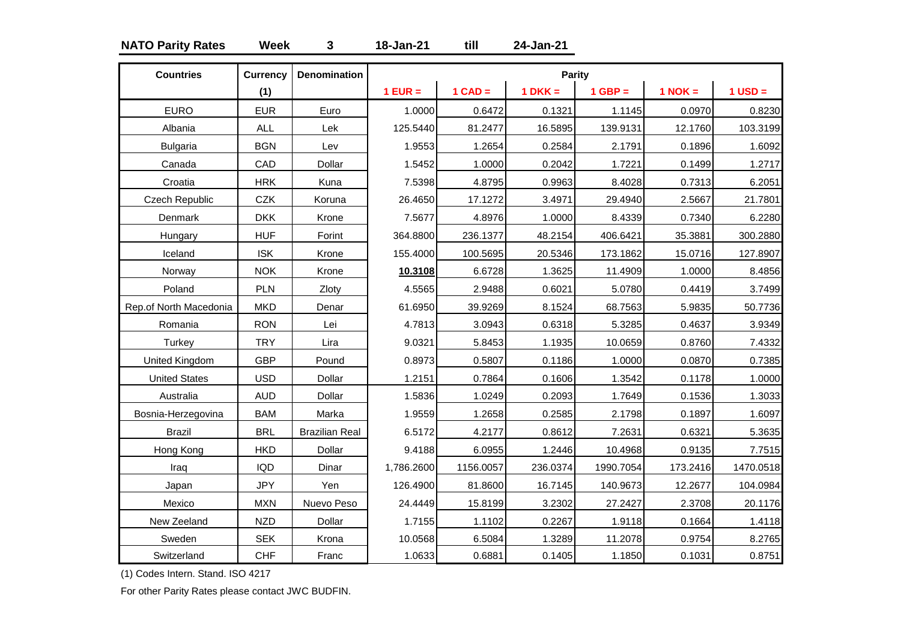### **NATO Parity Rates Week 3 18-Jan-21 till 24-Jan-21**

| <b>Countries</b>       | <b>Currency</b> | <b>Denomination</b>   |            |           | Parity    |           |           |             |
|------------------------|-----------------|-----------------------|------------|-----------|-----------|-----------|-----------|-------------|
|                        | (1)             |                       | $1$ EUR =  | $1$ CAD = | $1 DKK =$ | $1$ GBP = | $1$ NOK = | $1$ USD $=$ |
| <b>EURO</b>            | <b>EUR</b>      | Euro                  | 1.0000     | 0.6472    | 0.1321    | 1.1145    | 0.0970    | 0.8230      |
| Albania                | <b>ALL</b>      | Lek                   | 125.5440   | 81.2477   | 16.5895   | 139.9131  | 12.1760   | 103.3199    |
| <b>Bulgaria</b>        | <b>BGN</b>      | Lev                   | 1.9553     | 1.2654    | 0.2584    | 2.1791    | 0.1896    | 1.6092      |
| Canada                 | CAD             | Dollar                | 1.5452     | 1.0000    | 0.2042    | 1.7221    | 0.1499    | 1.2717      |
| Croatia                | <b>HRK</b>      | Kuna                  | 7.5398     | 4.8795    | 0.9963    | 8.4028    | 0.7313    | 6.2051      |
| Czech Republic         | <b>CZK</b>      | Koruna                | 26.4650    | 17.1272   | 3.4971    | 29.4940   | 2.5667    | 21.7801     |
| Denmark                | <b>DKK</b>      | Krone                 | 7.5677     | 4.8976    | 1.0000    | 8.4339    | 0.7340    | 6.2280      |
| Hungary                | <b>HUF</b>      | Forint                | 364.8800   | 236.1377  | 48.2154   | 406.6421  | 35.3881   | 300.2880    |
| Iceland                | <b>ISK</b>      | Krone                 | 155.4000   | 100.5695  | 20.5346   | 173.1862  | 15.0716   | 127.8907    |
| Norway                 | <b>NOK</b>      | Krone                 | 10.3108    | 6.6728    | 1.3625    | 11.4909   | 1.0000    | 8.4856      |
| Poland                 | PLN             | Zloty                 | 4.5565     | 2.9488    | 0.6021    | 5.0780    | 0.4419    | 3.7499      |
| Rep.of North Macedonia | <b>MKD</b>      | Denar                 | 61.6950    | 39.9269   | 8.1524    | 68.7563   | 5.9835    | 50.7736     |
| Romania                | <b>RON</b>      | Lei                   | 4.7813     | 3.0943    | 0.6318    | 5.3285    | 0.4637    | 3.9349      |
| Turkey                 | <b>TRY</b>      | Lira                  | 9.0321     | 5.8453    | 1.1935    | 10.0659   | 0.8760    | 7.4332      |
| <b>United Kingdom</b>  | <b>GBP</b>      | Pound                 | 0.8973     | 0.5807    | 0.1186    | 1.0000    | 0.0870    | 0.7385      |
| <b>United States</b>   | <b>USD</b>      | Dollar                | 1.2151     | 0.7864    | 0.1606    | 1.3542    | 0.1178    | 1.0000      |
| Australia              | <b>AUD</b>      | Dollar                | 1.5836     | 1.0249    | 0.2093    | 1.7649    | 0.1536    | 1.3033      |
| Bosnia-Herzegovina     | <b>BAM</b>      | Marka                 | 1.9559     | 1.2658    | 0.2585    | 2.1798    | 0.1897    | 1.6097      |
| <b>Brazil</b>          | <b>BRL</b>      | <b>Brazilian Real</b> | 6.5172     | 4.2177    | 0.8612    | 7.2631    | 0.6321    | 5.3635      |
| Hong Kong              | <b>HKD</b>      | Dollar                | 9.4188     | 6.0955    | 1.2446    | 10.4968   | 0.9135    | 7.7515      |
| Iraq                   | <b>IQD</b>      | Dinar                 | 1,786.2600 | 1156.0057 | 236.0374  | 1990.7054 | 173.2416  | 1470.0518   |
| Japan                  | <b>JPY</b>      | Yen                   | 126.4900   | 81.8600   | 16.7145   | 140.9673  | 12.2677   | 104.0984    |
| Mexico                 | <b>MXN</b>      | Nuevo Peso            | 24.4449    | 15.8199   | 3.2302    | 27.2427   | 2.3708    | 20.1176     |
| New Zeeland            | <b>NZD</b>      | Dollar                | 1.7155     | 1.1102    | 0.2267    | 1.9118    | 0.1664    | 1.4118      |
| Sweden                 | <b>SEK</b>      | Krona                 | 10.0568    | 6.5084    | 1.3289    | 11.2078   | 0.9754    | 8.2765      |
| Switzerland            | <b>CHF</b>      | Franc                 | 1.0633     | 0.6881    | 0.1405    | 1.1850    | 0.1031    | 0.8751      |

(1) Codes Intern. Stand. ISO 4217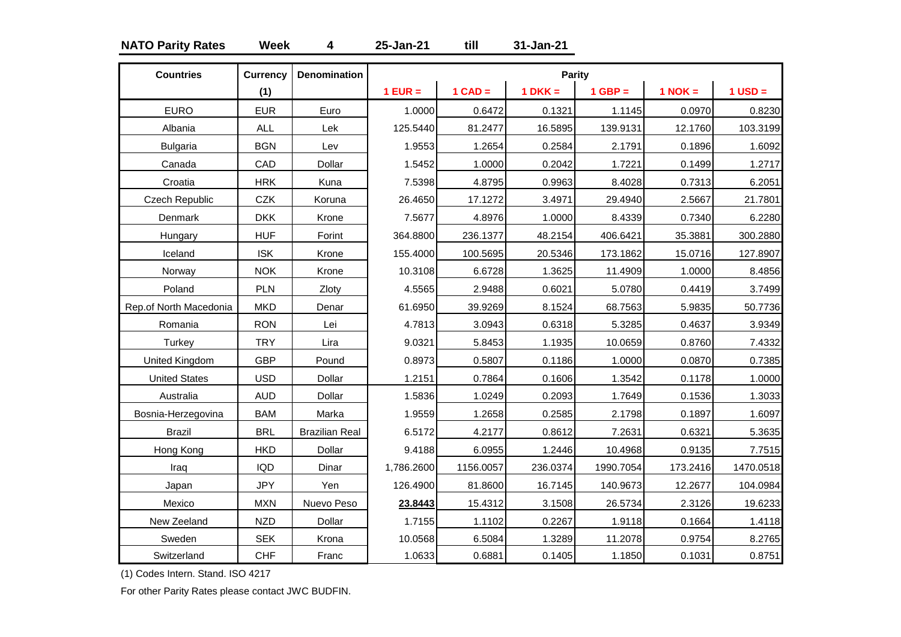### **NATO Parity Rates Week 4 25-Jan-21 till 31-Jan-21**

| <b>Countries</b>       | <b>Currency</b> | <b>Denomination</b>   |            |           | Parity    |           |           |             |
|------------------------|-----------------|-----------------------|------------|-----------|-----------|-----------|-----------|-------------|
|                        | (1)             |                       | $1$ EUR =  | $1$ CAD = | $1 DKK =$ | $1$ GBP = | $1$ NOK = | $1$ USD $=$ |
| <b>EURO</b>            | <b>EUR</b>      | Euro                  | 1.0000     | 0.6472    | 0.1321    | 1.1145    | 0.0970    | 0.8230      |
| Albania                | <b>ALL</b>      | Lek                   | 125.5440   | 81.2477   | 16.5895   | 139.9131  | 12.1760   | 103.3199    |
| <b>Bulgaria</b>        | <b>BGN</b>      | Lev                   | 1.9553     | 1.2654    | 0.2584    | 2.1791    | 0.1896    | 1.6092      |
| Canada                 | CAD             | Dollar                | 1.5452     | 1.0000    | 0.2042    | 1.7221    | 0.1499    | 1.2717      |
| Croatia                | <b>HRK</b>      | Kuna                  | 7.5398     | 4.8795    | 0.9963    | 8.4028    | 0.7313    | 6.2051      |
| <b>Czech Republic</b>  | <b>CZK</b>      | Koruna                | 26.4650    | 17.1272   | 3.4971    | 29.4940   | 2.5667    | 21.7801     |
| Denmark                | <b>DKK</b>      | Krone                 | 7.5677     | 4.8976    | 1.0000    | 8.4339    | 0.7340    | 6.2280      |
| Hungary                | <b>HUF</b>      | Forint                | 364.8800   | 236.1377  | 48.2154   | 406.6421  | 35.3881   | 300.2880    |
| Iceland                | <b>ISK</b>      | Krone                 | 155.4000   | 100.5695  | 20.5346   | 173.1862  | 15.0716   | 127.8907    |
| Norway                 | <b>NOK</b>      | Krone                 | 10.3108    | 6.6728    | 1.3625    | 11.4909   | 1.0000    | 8.4856      |
| Poland                 | PLN             | Zloty                 | 4.5565     | 2.9488    | 0.6021    | 5.0780    | 0.4419    | 3.7499      |
| Rep.of North Macedonia | <b>MKD</b>      | Denar                 | 61.6950    | 39.9269   | 8.1524    | 68.7563   | 5.9835    | 50.7736     |
| Romania                | <b>RON</b>      | Lei                   | 4.7813     | 3.0943    | 0.6318    | 5.3285    | 0.4637    | 3.9349      |
| Turkey                 | <b>TRY</b>      | Lira                  | 9.0321     | 5.8453    | 1.1935    | 10.0659   | 0.8760    | 7.4332      |
| United Kingdom         | <b>GBP</b>      | Pound                 | 0.8973     | 0.5807    | 0.1186    | 1.0000    | 0.0870    | 0.7385      |
| <b>United States</b>   | <b>USD</b>      | Dollar                | 1.2151     | 0.7864    | 0.1606    | 1.3542    | 0.1178    | 1.0000      |
| Australia              | <b>AUD</b>      | Dollar                | 1.5836     | 1.0249    | 0.2093    | 1.7649    | 0.1536    | 1.3033      |
| Bosnia-Herzegovina     | <b>BAM</b>      | Marka                 | 1.9559     | 1.2658    | 0.2585    | 2.1798    | 0.1897    | 1.6097      |
| <b>Brazil</b>          | <b>BRL</b>      | <b>Brazilian Real</b> | 6.5172     | 4.2177    | 0.8612    | 7.2631    | 0.6321    | 5.3635      |
| Hong Kong              | <b>HKD</b>      | Dollar                | 9.4188     | 6.0955    | 1.2446    | 10.4968   | 0.9135    | 7.7515      |
| Iraq                   | <b>IQD</b>      | Dinar                 | 1,786.2600 | 1156.0057 | 236.0374  | 1990.7054 | 173.2416  | 1470.0518   |
| Japan                  | <b>JPY</b>      | Yen                   | 126.4900   | 81.8600   | 16.7145   | 140.9673  | 12.2677   | 104.0984    |
| Mexico                 | <b>MXN</b>      | Nuevo Peso            | 23.8443    | 15.4312   | 3.1508    | 26.5734   | 2.3126    | 19.6233     |
| New Zeeland            | <b>NZD</b>      | Dollar                | 1.7155     | 1.1102    | 0.2267    | 1.9118    | 0.1664    | 1.4118      |
| Sweden                 | <b>SEK</b>      | Krona                 | 10.0568    | 6.5084    | 1.3289    | 11.2078   | 0.9754    | 8.2765      |
| Switzerland            | <b>CHF</b>      | Franc                 | 1.0633     | 0.6881    | 0.1405    | 1.1850    | 0.1031    | 0.8751      |

(1) Codes Intern. Stand. ISO 4217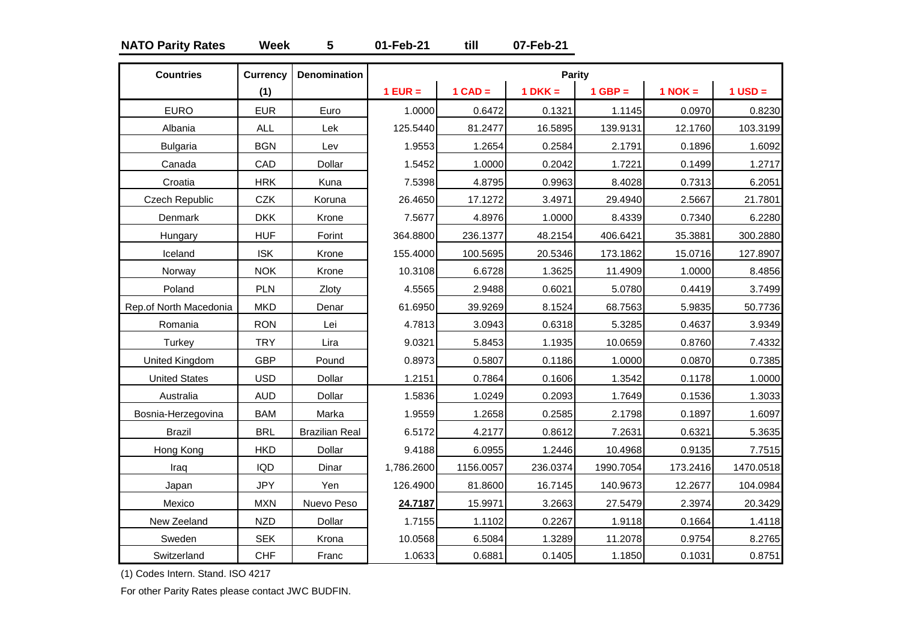### **NATO Parity Rates Week 5 01-Feb-21 till 07-Feb-21**

| <b>Countries</b>       | <b>Currency</b> | <b>Denomination</b>   |            |           | Parity    |           |             |             |
|------------------------|-----------------|-----------------------|------------|-----------|-----------|-----------|-------------|-------------|
|                        | (1)             |                       | $1$ EUR =  | $1$ CAD = | $1 DKK =$ | $1$ GBP = | $1$ NOK $=$ | $1$ USD $=$ |
| <b>EURO</b>            | <b>EUR</b>      | Euro                  | 1.0000     | 0.6472    | 0.1321    | 1.1145    | 0.0970      | 0.8230      |
| Albania                | <b>ALL</b>      | Lek                   | 125.5440   | 81.2477   | 16.5895   | 139.9131  | 12.1760     | 103.3199    |
| <b>Bulgaria</b>        | <b>BGN</b>      | Lev                   | 1.9553     | 1.2654    | 0.2584    | 2.1791    | 0.1896      | 1.6092      |
| Canada                 | CAD             | Dollar                | 1.5452     | 1.0000    | 0.2042    | 1.7221    | 0.1499      | 1.2717      |
| Croatia                | <b>HRK</b>      | Kuna                  | 7.5398     | 4.8795    | 0.9963    | 8.4028    | 0.7313      | 6.2051      |
| Czech Republic         | <b>CZK</b>      | Koruna                | 26.4650    | 17.1272   | 3.4971    | 29.4940   | 2.5667      | 21.7801     |
| Denmark                | <b>DKK</b>      | Krone                 | 7.5677     | 4.8976    | 1.0000    | 8.4339    | 0.7340      | 6.2280      |
| Hungary                | <b>HUF</b>      | Forint                | 364.8800   | 236.1377  | 48.2154   | 406.6421  | 35.3881     | 300.2880    |
| Iceland                | <b>ISK</b>      | Krone                 | 155.4000   | 100.5695  | 20.5346   | 173.1862  | 15.0716     | 127.8907    |
| Norway                 | <b>NOK</b>      | Krone                 | 10.3108    | 6.6728    | 1.3625    | 11.4909   | 1.0000      | 8.4856      |
| Poland                 | PLN             | Zloty                 | 4.5565     | 2.9488    | 0.6021    | 5.0780    | 0.4419      | 3.7499      |
| Rep.of North Macedonia | <b>MKD</b>      | Denar                 | 61.6950    | 39.9269   | 8.1524    | 68.7563   | 5.9835      | 50.7736     |
| Romania                | <b>RON</b>      | Lei                   | 4.7813     | 3.0943    | 0.6318    | 5.3285    | 0.4637      | 3.9349      |
| Turkey                 | <b>TRY</b>      | Lira                  | 9.0321     | 5.8453    | 1.1935    | 10.0659   | 0.8760      | 7.4332      |
| United Kingdom         | <b>GBP</b>      | Pound                 | 0.8973     | 0.5807    | 0.1186    | 1.0000    | 0.0870      | 0.7385      |
| <b>United States</b>   | <b>USD</b>      | Dollar                | 1.2151     | 0.7864    | 0.1606    | 1.3542    | 0.1178      | 1.0000      |
| Australia              | <b>AUD</b>      | Dollar                | 1.5836     | 1.0249    | 0.2093    | 1.7649    | 0.1536      | 1.3033      |
| Bosnia-Herzegovina     | <b>BAM</b>      | Marka                 | 1.9559     | 1.2658    | 0.2585    | 2.1798    | 0.1897      | 1.6097      |
| <b>Brazil</b>          | <b>BRL</b>      | <b>Brazilian Real</b> | 6.5172     | 4.2177    | 0.8612    | 7.2631    | 0.6321      | 5.3635      |
| Hong Kong              | <b>HKD</b>      | Dollar                | 9.4188     | 6.0955    | 1.2446    | 10.4968   | 0.9135      | 7.7515      |
| Iraq                   | <b>IQD</b>      | Dinar                 | 1,786.2600 | 1156.0057 | 236.0374  | 1990.7054 | 173.2416    | 1470.0518   |
| Japan                  | <b>JPY</b>      | Yen                   | 126.4900   | 81.8600   | 16.7145   | 140.9673  | 12.2677     | 104.0984    |
| Mexico                 | <b>MXN</b>      | Nuevo Peso            | 24.7187    | 15.9971   | 3.2663    | 27.5479   | 2.3974      | 20.3429     |
| New Zeeland            | <b>NZD</b>      | Dollar                | 1.7155     | 1.1102    | 0.2267    | 1.9118    | 0.1664      | 1.4118      |
| Sweden                 | <b>SEK</b>      | Krona                 | 10.0568    | 6.5084    | 1.3289    | 11.2078   | 0.9754      | 8.2765      |
| Switzerland            | <b>CHF</b>      | Franc                 | 1.0633     | 0.6881    | 0.1405    | 1.1850    | 0.1031      | 0.8751      |

(1) Codes Intern. Stand. ISO 4217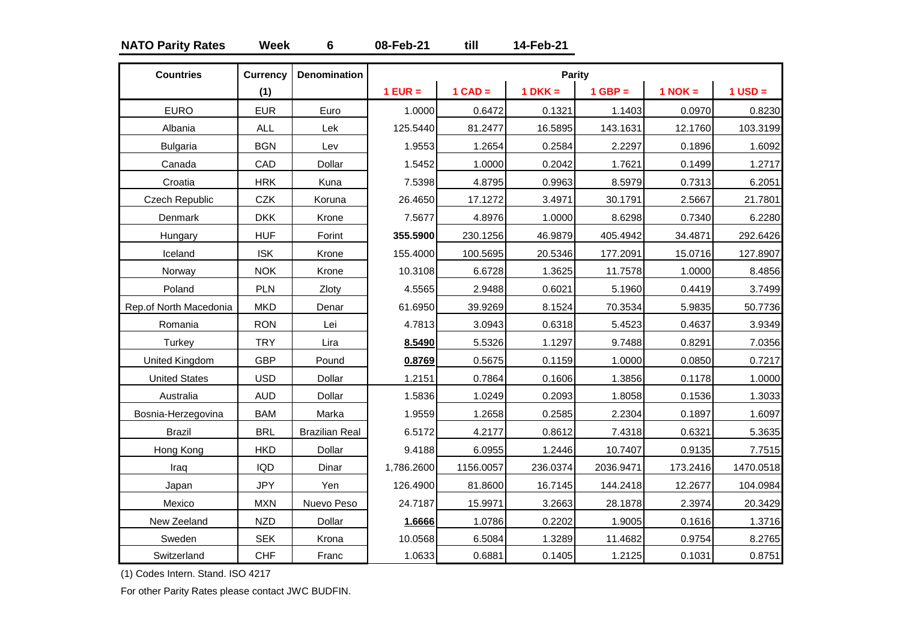### **NATO Parity Rates Week 6 08-Feb-21 till 14-Feb-21**

| <b>Countries</b>       | <b>Currency</b> | <b>Denomination</b>   |            |           | Parity    |           |             |             |
|------------------------|-----------------|-----------------------|------------|-----------|-----------|-----------|-------------|-------------|
|                        | (1)             |                       | $1$ EUR =  | $1$ CAD = | $1 DKK =$ | $1$ GBP = | $1$ NOK $=$ | $1$ USD $=$ |
| <b>EURO</b>            | <b>EUR</b>      | Euro                  | 1.0000     | 0.6472    | 0.1321    | 1.1403    | 0.0970      | 0.8230      |
| Albania                | <b>ALL</b>      | Lek                   | 125.5440   | 81.2477   | 16.5895   | 143.1631  | 12.1760     | 103.3199    |
| <b>Bulgaria</b>        | <b>BGN</b>      | Lev                   | 1.9553     | 1.2654    | 0.2584    | 2.2297    | 0.1896      | 1.6092      |
| Canada                 | CAD             | Dollar                | 1.5452     | 1.0000    | 0.2042    | 1.7621    | 0.1499      | 1.2717      |
| Croatia                | <b>HRK</b>      | Kuna                  | 7.5398     | 4.8795    | 0.9963    | 8.5979    | 0.7313      | 6.2051      |
| Czech Republic         | <b>CZK</b>      | Koruna                | 26.4650    | 17.1272   | 3.4971    | 30.1791   | 2.5667      | 21.7801     |
| Denmark                | <b>DKK</b>      | Krone                 | 7.5677     | 4.8976    | 1.0000    | 8.6298    | 0.7340      | 6.2280      |
| Hungary                | <b>HUF</b>      | Forint                | 355.5900   | 230.1256  | 46.9879   | 405.4942  | 34.4871     | 292.6426    |
| Iceland                | <b>ISK</b>      | Krone                 | 155.4000   | 100.5695  | 20.5346   | 177.2091  | 15.0716     | 127.8907    |
| Norway                 | <b>NOK</b>      | Krone                 | 10.3108    | 6.6728    | 1.3625    | 11.7578   | 1.0000      | 8.4856      |
| Poland                 | PLN             | Zloty                 | 4.5565     | 2.9488    | 0.6021    | 5.1960    | 0.4419      | 3.7499      |
| Rep.of North Macedonia | <b>MKD</b>      | Denar                 | 61.6950    | 39.9269   | 8.1524    | 70.3534   | 5.9835      | 50.7736     |
| Romania                | <b>RON</b>      | Lei                   | 4.7813     | 3.0943    | 0.6318    | 5.4523    | 0.4637      | 3.9349      |
| Turkey                 | <b>TRY</b>      | Lira                  | 8.5490     | 5.5326    | 1.1297    | 9.7488    | 0.8291      | 7.0356      |
| United Kingdom         | <b>GBP</b>      | Pound                 | 0.8769     | 0.5675    | 0.1159    | 1.0000    | 0.0850      | 0.7217      |
| <b>United States</b>   | <b>USD</b>      | Dollar                | 1.2151     | 0.7864    | 0.1606    | 1.3856    | 0.1178      | 1.0000      |
| Australia              | <b>AUD</b>      | Dollar                | 1.5836     | 1.0249    | 0.2093    | 1.8058    | 0.1536      | 1.3033      |
| Bosnia-Herzegovina     | <b>BAM</b>      | Marka                 | 1.9559     | 1.2658    | 0.2585    | 2.2304    | 0.1897      | 1.6097      |
| <b>Brazil</b>          | <b>BRL</b>      | <b>Brazilian Real</b> | 6.5172     | 4.2177    | 0.8612    | 7.4318    | 0.6321      | 5.3635      |
| Hong Kong              | <b>HKD</b>      | Dollar                | 9.4188     | 6.0955    | 1.2446    | 10.7407   | 0.9135      | 7.7515      |
| Iraq                   | <b>IQD</b>      | Dinar                 | 1,786.2600 | 1156.0057 | 236.0374  | 2036.9471 | 173.2416    | 1470.0518   |
| Japan                  | <b>JPY</b>      | Yen                   | 126.4900   | 81.8600   | 16.7145   | 144.2418  | 12.2677     | 104.0984    |
| Mexico                 | <b>MXN</b>      | Nuevo Peso            | 24.7187    | 15.9971   | 3.2663    | 28.1878   | 2.3974      | 20.3429     |
| New Zeeland            | <b>NZD</b>      | Dollar                | 1.6666     | 1.0786    | 0.2202    | 1.9005    | 0.1616      | 1.3716      |
| Sweden                 | <b>SEK</b>      | Krona                 | 10.0568    | 6.5084    | 1.3289    | 11.4682   | 0.9754      | 8.2765      |
| Switzerland            | <b>CHF</b>      | Franc                 | 1.0633     | 0.6881    | 0.1405    | 1.2125    | 0.1031      | 0.8751      |

(1) Codes Intern. Stand. ISO 4217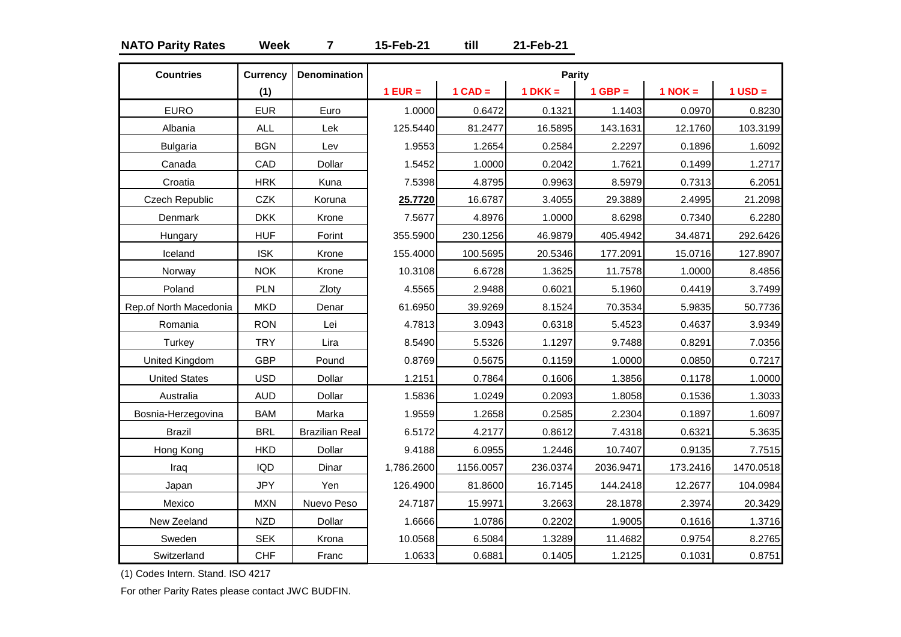### **NATO Parity Rates Week 7 15-Feb-21 till 21-Feb-21**

| <b>Countries</b>       | <b>Currency</b> | <b>Denomination</b>   |            |           | Parity    |           |             |             |
|------------------------|-----------------|-----------------------|------------|-----------|-----------|-----------|-------------|-------------|
|                        | (1)             |                       | $1$ EUR =  | $1$ CAD = | $1 DKK =$ | $1$ GBP = | $1$ NOK $=$ | $1$ USD $=$ |
| <b>EURO</b>            | <b>EUR</b>      | Euro                  | 1.0000     | 0.6472    | 0.1321    | 1.1403    | 0.0970      | 0.8230      |
| Albania                | <b>ALL</b>      | Lek                   | 125.5440   | 81.2477   | 16.5895   | 143.1631  | 12.1760     | 103.3199    |
| <b>Bulgaria</b>        | <b>BGN</b>      | Lev                   | 1.9553     | 1.2654    | 0.2584    | 2.2297    | 0.1896      | 1.6092      |
| Canada                 | CAD             | Dollar                | 1.5452     | 1.0000    | 0.2042    | 1.7621    | 0.1499      | 1.2717      |
| Croatia                | <b>HRK</b>      | Kuna                  | 7.5398     | 4.8795    | 0.9963    | 8.5979    | 0.7313      | 6.2051      |
| Czech Republic         | <b>CZK</b>      | Koruna                | 25.7720    | 16.6787   | 3.4055    | 29.3889   | 2.4995      | 21.2098     |
| Denmark                | <b>DKK</b>      | Krone                 | 7.5677     | 4.8976    | 1.0000    | 8.6298    | 0.7340      | 6.2280      |
| Hungary                | <b>HUF</b>      | Forint                | 355.5900   | 230.1256  | 46.9879   | 405.4942  | 34.4871     | 292.6426    |
| Iceland                | <b>ISK</b>      | Krone                 | 155.4000   | 100.5695  | 20.5346   | 177.2091  | 15.0716     | 127.8907    |
| Norway                 | <b>NOK</b>      | Krone                 | 10.3108    | 6.6728    | 1.3625    | 11.7578   | 1.0000      | 8.4856      |
| Poland                 | PLN             | Zloty                 | 4.5565     | 2.9488    | 0.6021    | 5.1960    | 0.4419      | 3.7499      |
| Rep.of North Macedonia | <b>MKD</b>      | Denar                 | 61.6950    | 39.9269   | 8.1524    | 70.3534   | 5.9835      | 50.7736     |
| Romania                | <b>RON</b>      | Lei                   | 4.7813     | 3.0943    | 0.6318    | 5.4523    | 0.4637      | 3.9349      |
| Turkey                 | <b>TRY</b>      | Lira                  | 8.5490     | 5.5326    | 1.1297    | 9.7488    | 0.8291      | 7.0356      |
| United Kingdom         | <b>GBP</b>      | Pound                 | 0.8769     | 0.5675    | 0.1159    | 1.0000    | 0.0850      | 0.7217      |
| <b>United States</b>   | <b>USD</b>      | Dollar                | 1.2151     | 0.7864    | 0.1606    | 1.3856    | 0.1178      | 1.0000      |
| Australia              | <b>AUD</b>      | Dollar                | 1.5836     | 1.0249    | 0.2093    | 1.8058    | 0.1536      | 1.3033      |
| Bosnia-Herzegovina     | <b>BAM</b>      | Marka                 | 1.9559     | 1.2658    | 0.2585    | 2.2304    | 0.1897      | 1.6097      |
| <b>Brazil</b>          | <b>BRL</b>      | <b>Brazilian Real</b> | 6.5172     | 4.2177    | 0.8612    | 7.4318    | 0.6321      | 5.3635      |
| Hong Kong              | <b>HKD</b>      | Dollar                | 9.4188     | 6.0955    | 1.2446    | 10.7407   | 0.9135      | 7.7515      |
| Iraq                   | <b>IQD</b>      | Dinar                 | 1,786.2600 | 1156.0057 | 236.0374  | 2036.9471 | 173.2416    | 1470.0518   |
| Japan                  | <b>JPY</b>      | Yen                   | 126.4900   | 81.8600   | 16.7145   | 144.2418  | 12.2677     | 104.0984    |
| Mexico                 | <b>MXN</b>      | Nuevo Peso            | 24.7187    | 15.9971   | 3.2663    | 28.1878   | 2.3974      | 20.3429     |
| New Zeeland            | <b>NZD</b>      | Dollar                | 1.6666     | 1.0786    | 0.2202    | 1.9005    | 0.1616      | 1.3716      |
| Sweden                 | <b>SEK</b>      | Krona                 | 10.0568    | 6.5084    | 1.3289    | 11.4682   | 0.9754      | 8.2765      |
| Switzerland            | <b>CHF</b>      | Franc                 | 1.0633     | 0.6881    | 0.1405    | 1.2125    | 0.1031      | 0.8751      |

(1) Codes Intern. Stand. ISO 4217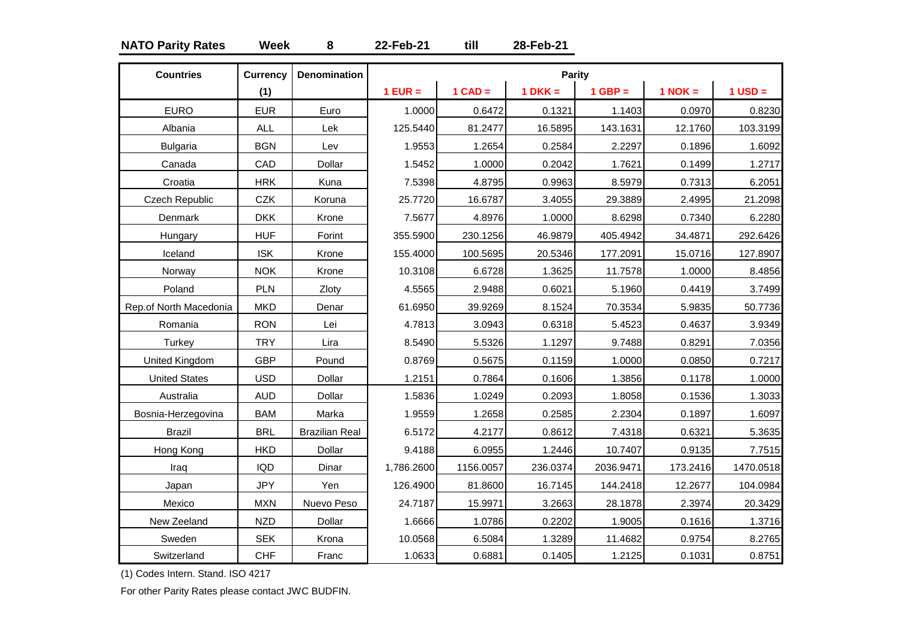### **NATO Parity Rates Week 8 22-Feb-21 till 28-Feb-21**

| <b>Countries</b>       | <b>Currency</b> | <b>Denomination</b>   |            |           | <b>Parity</b> |           |             |             |
|------------------------|-----------------|-----------------------|------------|-----------|---------------|-----------|-------------|-------------|
|                        | (1)             |                       | $1$ EUR =  | $1$ CAD = | $1 DKK =$     | $1$ GBP = | $1$ NOK $=$ | $1$ USD $=$ |
| <b>EURO</b>            | <b>EUR</b>      | Euro                  | 1.0000     | 0.6472    | 0.1321        | 1.1403    | 0.0970      | 0.8230      |
| Albania                | <b>ALL</b>      | Lek                   | 125.5440   | 81.2477   | 16.5895       | 143.1631  | 12.1760     | 103.3199    |
| <b>Bulgaria</b>        | <b>BGN</b>      | Lev                   | 1.9553     | 1.2654    | 0.2584        | 2.2297    | 0.1896      | 1.6092      |
| Canada                 | CAD             | Dollar                | 1.5452     | 1.0000    | 0.2042        | 1.7621    | 0.1499      | 1.2717      |
| Croatia                | <b>HRK</b>      | Kuna                  | 7.5398     | 4.8795    | 0.9963        | 8.5979    | 0.7313      | 6.2051      |
| <b>Czech Republic</b>  | <b>CZK</b>      | Koruna                | 25.7720    | 16.6787   | 3.4055        | 29.3889   | 2.4995      | 21.2098     |
| Denmark                | <b>DKK</b>      | Krone                 | 7.5677     | 4.8976    | 1.0000        | 8.6298    | 0.7340      | 6.2280      |
| Hungary                | <b>HUF</b>      | Forint                | 355.5900   | 230.1256  | 46.9879       | 405.4942  | 34.4871     | 292.6426    |
| Iceland                | <b>ISK</b>      | Krone                 | 155.4000   | 100.5695  | 20.5346       | 177.2091  | 15.0716     | 127.8907    |
| Norway                 | <b>NOK</b>      | Krone                 | 10.3108    | 6.6728    | 1.3625        | 11.7578   | 1.0000      | 8.4856      |
| Poland                 | PLN             | Zloty                 | 4.5565     | 2.9488    | 0.6021        | 5.1960    | 0.4419      | 3.7499      |
| Rep.of North Macedonia | <b>MKD</b>      | Denar                 | 61.6950    | 39.9269   | 8.1524        | 70.3534   | 5.9835      | 50.7736     |
| Romania                | <b>RON</b>      | Lei                   | 4.7813     | 3.0943    | 0.6318        | 5.4523    | 0.4637      | 3.9349      |
| Turkey                 | <b>TRY</b>      | Lira                  | 8.5490     | 5.5326    | 1.1297        | 9.7488    | 0.8291      | 7.0356      |
| United Kingdom         | <b>GBP</b>      | Pound                 | 0.8769     | 0.5675    | 0.1159        | 1.0000    | 0.0850      | 0.7217      |
| <b>United States</b>   | <b>USD</b>      | Dollar                | 1.2151     | 0.7864    | 0.1606        | 1.3856    | 0.1178      | 1.0000      |
| Australia              | <b>AUD</b>      | Dollar                | 1.5836     | 1.0249    | 0.2093        | 1.8058    | 0.1536      | 1.3033      |
| Bosnia-Herzegovina     | <b>BAM</b>      | Marka                 | 1.9559     | 1.2658    | 0.2585        | 2.2304    | 0.1897      | 1.6097      |
| <b>Brazil</b>          | <b>BRL</b>      | <b>Brazilian Real</b> | 6.5172     | 4.2177    | 0.8612        | 7.4318    | 0.6321      | 5.3635      |
| Hong Kong              | <b>HKD</b>      | Dollar                | 9.4188     | 6.0955    | 1.2446        | 10.7407   | 0.9135      | 7.7515      |
| Iraq                   | <b>IQD</b>      | Dinar                 | 1,786.2600 | 1156.0057 | 236.0374      | 2036.9471 | 173.2416    | 1470.0518   |
| Japan                  | <b>JPY</b>      | Yen                   | 126.4900   | 81.8600   | 16.7145       | 144.2418  | 12.2677     | 104.0984    |
| Mexico                 | <b>MXN</b>      | Nuevo Peso            | 24.7187    | 15.9971   | 3.2663        | 28.1878   | 2.3974      | 20.3429     |
| New Zeeland            | <b>NZD</b>      | Dollar                | 1.6666     | 1.0786    | 0.2202        | 1.9005    | 0.1616      | 1.3716      |
| Sweden                 | <b>SEK</b>      | Krona                 | 10.0568    | 6.5084    | 1.3289        | 11.4682   | 0.9754      | 8.2765      |
| Switzerland            | <b>CHF</b>      | Franc                 | 1.0633     | 0.6881    | 0.1405        | 1.2125    | 0.1031      | 0.8751      |

(1) Codes Intern. Stand. ISO 4217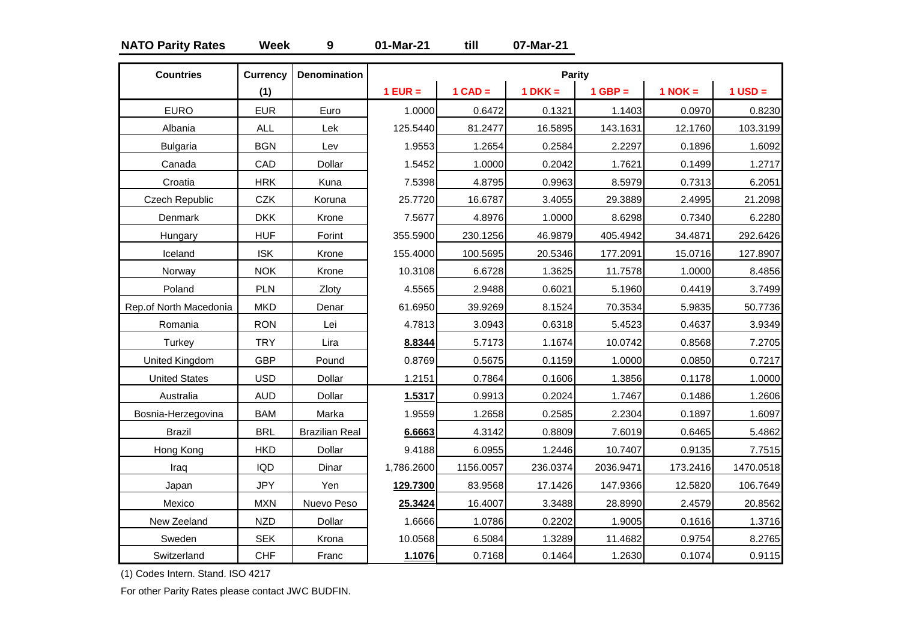### **NATO Parity Rates Week 9 01-Mar-21 till 07-Mar-21**

| <b>Countries</b>       | <b>Currency</b> | <b>Denomination</b>   |            |           | <b>Parity</b> |           |           |             |
|------------------------|-----------------|-----------------------|------------|-----------|---------------|-----------|-----------|-------------|
|                        | (1)             |                       | $1$ EUR =  | $1$ CAD = | $1$ DKK =     | $1$ GBP = | $1$ NOK = | $1$ USD $=$ |
| <b>EURO</b>            | <b>EUR</b>      | Euro                  | 1.0000     | 0.6472    | 0.1321        | 1.1403    | 0.0970    | 0.8230      |
| Albania                | <b>ALL</b>      | Lek                   | 125.5440   | 81.2477   | 16.5895       | 143.1631  | 12.1760   | 103.3199    |
| <b>Bulgaria</b>        | <b>BGN</b>      | Lev                   | 1.9553     | 1.2654    | 0.2584        | 2.2297    | 0.1896    | 1.6092      |
| Canada                 | CAD             | Dollar                | 1.5452     | 1.0000    | 0.2042        | 1.7621    | 0.1499    | 1.2717      |
| Croatia                | <b>HRK</b>      | Kuna                  | 7.5398     | 4.8795    | 0.9963        | 8.5979    | 0.7313    | 6.2051      |
| Czech Republic         | CZK             | Koruna                | 25.7720    | 16.6787   | 3.4055        | 29.3889   | 2.4995    | 21.2098     |
| Denmark                | <b>DKK</b>      | Krone                 | 7.5677     | 4.8976    | 1.0000        | 8.6298    | 0.7340    | 6.2280      |
| Hungary                | <b>HUF</b>      | Forint                | 355.5900   | 230.1256  | 46.9879       | 405.4942  | 34.4871   | 292.6426    |
| Iceland                | <b>ISK</b>      | Krone                 | 155.4000   | 100.5695  | 20.5346       | 177.2091  | 15.0716   | 127.8907    |
| Norway                 | <b>NOK</b>      | Krone                 | 10.3108    | 6.6728    | 1.3625        | 11.7578   | 1.0000    | 8.4856      |
| Poland                 | PLN             | Zloty                 | 4.5565     | 2.9488    | 0.6021        | 5.1960    | 0.4419    | 3.7499      |
| Rep.of North Macedonia | <b>MKD</b>      | Denar                 | 61.6950    | 39.9269   | 8.1524        | 70.3534   | 5.9835    | 50.7736     |
| Romania                | <b>RON</b>      | Lei                   | 4.7813     | 3.0943    | 0.6318        | 5.4523    | 0.4637    | 3.9349      |
| Turkey                 | <b>TRY</b>      | Lira                  | 8.8344     | 5.7173    | 1.1674        | 10.0742   | 0.8568    | 7.2705      |
| United Kingdom         | <b>GBP</b>      | Pound                 | 0.8769     | 0.5675    | 0.1159        | 1.0000    | 0.0850    | 0.7217      |
| <b>United States</b>   | <b>USD</b>      | Dollar                | 1.2151     | 0.7864    | 0.1606        | 1.3856    | 0.1178    | 1.0000      |
| Australia              | <b>AUD</b>      | Dollar                | 1.5317     | 0.9913    | 0.2024        | 1.7467    | 0.1486    | 1.2606      |
| Bosnia-Herzegovina     | <b>BAM</b>      | Marka                 | 1.9559     | 1.2658    | 0.2585        | 2.2304    | 0.1897    | 1.6097      |
| <b>Brazil</b>          | <b>BRL</b>      | <b>Brazilian Real</b> | 6.6663     | 4.3142    | 0.8809        | 7.6019    | 0.6465    | 5.4862      |
| Hong Kong              | <b>HKD</b>      | Dollar                | 9.4188     | 6.0955    | 1.2446        | 10.7407   | 0.9135    | 7.7515      |
| Iraq                   | <b>IQD</b>      | Dinar                 | 1,786.2600 | 1156.0057 | 236.0374      | 2036.9471 | 173.2416  | 1470.0518   |
| Japan                  | <b>JPY</b>      | Yen                   | 129.7300   | 83.9568   | 17.1426       | 147.9366  | 12.5820   | 106.7649    |
| Mexico                 | <b>MXN</b>      | Nuevo Peso            | 25.3424    | 16.4007   | 3.3488        | 28.8990   | 2.4579    | 20.8562     |
| New Zeeland            | <b>NZD</b>      | Dollar                | 1.6666     | 1.0786    | 0.2202        | 1.9005    | 0.1616    | 1.3716      |
| Sweden                 | <b>SEK</b>      | Krona                 | 10.0568    | 6.5084    | 1.3289        | 11.4682   | 0.9754    | 8.2765      |
| Switzerland            | <b>CHF</b>      | Franc                 | 1.1076     | 0.7168    | 0.1464        | 1.2630    | 0.1074    | 0.9115      |

(1) Codes Intern. Stand. ISO 4217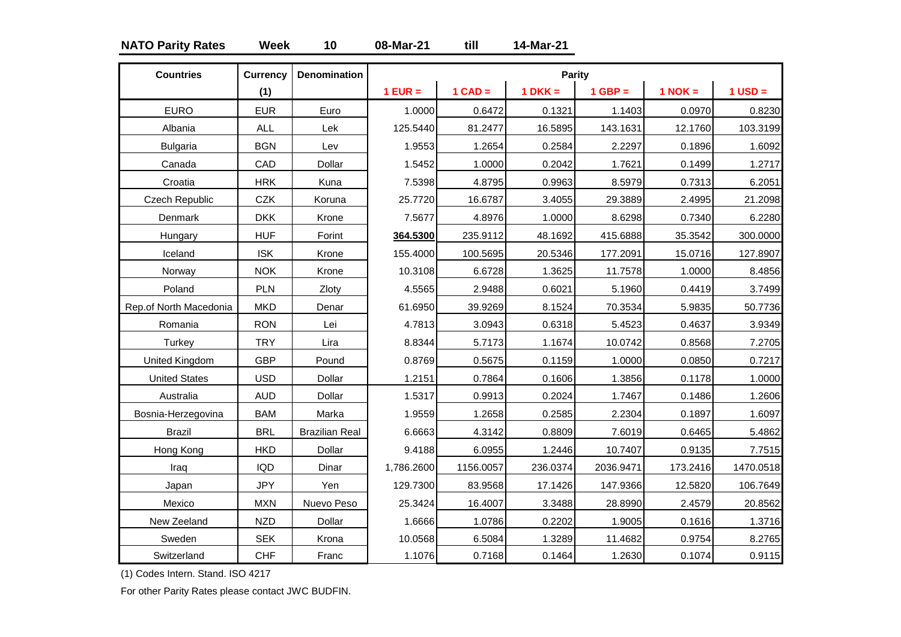### **NATO Parity Rates Week 10 08-Mar-21 till 14-Mar-21**

| <b>Countries</b>       | <b>Currency</b> | <b>Denomination</b>   |            |           | Parity    |           |             |             |
|------------------------|-----------------|-----------------------|------------|-----------|-----------|-----------|-------------|-------------|
|                        | (1)             |                       | $1$ EUR =  | $1$ CAD = | $1$ DKK = | $1$ GBP = | $1$ NOK $=$ | $1$ USD $=$ |
| <b>EURO</b>            | <b>EUR</b>      | Euro                  | 1.0000     | 0.6472    | 0.1321    | 1.1403    | 0.0970      | 0.8230      |
| Albania                | <b>ALL</b>      | Lek                   | 125.5440   | 81.2477   | 16.5895   | 143.1631  | 12.1760     | 103.3199    |
| <b>Bulgaria</b>        | <b>BGN</b>      | Lev                   | 1.9553     | 1.2654    | 0.2584    | 2.2297    | 0.1896      | 1.6092      |
| Canada                 | CAD             | Dollar                | 1.5452     | 1.0000    | 0.2042    | 1.7621    | 0.1499      | 1.2717      |
| Croatia                | <b>HRK</b>      | Kuna                  | 7.5398     | 4.8795    | 0.9963    | 8.5979    | 0.7313      | 6.2051      |
| <b>Czech Republic</b>  | <b>CZK</b>      | Koruna                | 25.7720    | 16.6787   | 3.4055    | 29.3889   | 2.4995      | 21.2098     |
| Denmark                | <b>DKK</b>      | Krone                 | 7.5677     | 4.8976    | 1.0000    | 8.6298    | 0.7340      | 6.2280      |
| Hungary                | <b>HUF</b>      | Forint                | 364.5300   | 235.9112  | 48.1692   | 415.6888  | 35.3542     | 300.0000    |
| Iceland                | <b>ISK</b>      | Krone                 | 155.4000   | 100.5695  | 20.5346   | 177.2091  | 15.0716     | 127.8907    |
| Norway                 | <b>NOK</b>      | Krone                 | 10.3108    | 6.6728    | 1.3625    | 11.7578   | 1.0000      | 8.4856      |
| Poland                 | PLN             | Zloty                 | 4.5565     | 2.9488    | 0.6021    | 5.1960    | 0.4419      | 3.7499      |
| Rep.of North Macedonia | <b>MKD</b>      | Denar                 | 61.6950    | 39.9269   | 8.1524    | 70.3534   | 5.9835      | 50.7736     |
| Romania                | <b>RON</b>      | Lei                   | 4.7813     | 3.0943    | 0.6318    | 5.4523    | 0.4637      | 3.9349      |
| Turkey                 | <b>TRY</b>      | Lira                  | 8.8344     | 5.7173    | 1.1674    | 10.0742   | 0.8568      | 7.2705      |
| United Kingdom         | <b>GBP</b>      | Pound                 | 0.8769     | 0.5675    | 0.1159    | 1.0000    | 0.0850      | 0.7217      |
| <b>United States</b>   | <b>USD</b>      | Dollar                | 1.2151     | 0.7864    | 0.1606    | 1.3856    | 0.1178      | 1.0000      |
| Australia              | <b>AUD</b>      | Dollar                | 1.5317     | 0.9913    | 0.2024    | 1.7467    | 0.1486      | 1.2606      |
| Bosnia-Herzegovina     | <b>BAM</b>      | Marka                 | 1.9559     | 1.2658    | 0.2585    | 2.2304    | 0.1897      | 1.6097      |
| <b>Brazil</b>          | <b>BRL</b>      | <b>Brazilian Real</b> | 6.6663     | 4.3142    | 0.8809    | 7.6019    | 0.6465      | 5.4862      |
| Hong Kong              | <b>HKD</b>      | Dollar                | 9.4188     | 6.0955    | 1.2446    | 10.7407   | 0.9135      | 7.7515      |
| Iraq                   | <b>IQD</b>      | Dinar                 | 1,786.2600 | 1156.0057 | 236.0374  | 2036.9471 | 173.2416    | 1470.0518   |
| Japan                  | <b>JPY</b>      | Yen                   | 129.7300   | 83.9568   | 17.1426   | 147.9366  | 12.5820     | 106.7649    |
| Mexico                 | <b>MXN</b>      | Nuevo Peso            | 25.3424    | 16.4007   | 3.3488    | 28.8990   | 2.4579      | 20.8562     |
| New Zeeland            | <b>NZD</b>      | Dollar                | 1.6666     | 1.0786    | 0.2202    | 1.9005    | 0.1616      | 1.3716      |
| Sweden                 | <b>SEK</b>      | Krona                 | 10.0568    | 6.5084    | 1.3289    | 11.4682   | 0.9754      | 8.2765      |
| Switzerland            | <b>CHF</b>      | Franc                 | 1.1076     | 0.7168    | 0.1464    | 1.2630    | 0.1074      | 0.9115      |

(1) Codes Intern. Stand. ISO 4217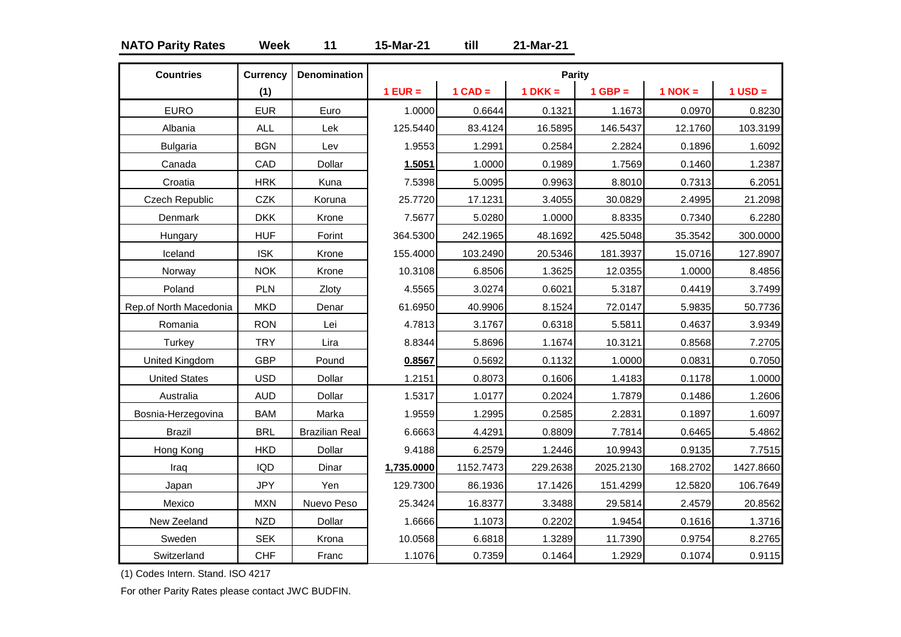### **NATO Parity Rates Week 11 15-Mar-21 till 21-Mar-21**

| <b>Countries</b>       | <b>Currency</b> | <b>Denomination</b>   |            |           | <b>Parity</b> |           |           |             |
|------------------------|-----------------|-----------------------|------------|-----------|---------------|-----------|-----------|-------------|
|                        | (1)             |                       | $1$ EUR =  | $1$ CAD = | $1 DKK =$     | $1$ GBP = | $1$ NOK = | $1$ USD $=$ |
| <b>EURO</b>            | <b>EUR</b>      | Euro                  | 1.0000     | 0.6644    | 0.1321        | 1.1673    | 0.0970    | 0.8230      |
| Albania                | <b>ALL</b>      | Lek                   | 125.5440   | 83.4124   | 16.5895       | 146.5437  | 12.1760   | 103.3199    |
| <b>Bulgaria</b>        | <b>BGN</b>      | Lev                   | 1.9553     | 1.2991    | 0.2584        | 2.2824    | 0.1896    | 1.6092      |
| Canada                 | CAD             | Dollar                | 1.5051     | 1.0000    | 0.1989        | 1.7569    | 0.1460    | 1.2387      |
| Croatia                | <b>HRK</b>      | Kuna                  | 7.5398     | 5.0095    | 0.9963        | 8.8010    | 0.7313    | 6.2051      |
| <b>Czech Republic</b>  | <b>CZK</b>      | Koruna                | 25.7720    | 17.1231   | 3.4055        | 30.0829   | 2.4995    | 21.2098     |
| Denmark                | <b>DKK</b>      | Krone                 | 7.5677     | 5.0280    | 1.0000        | 8.8335    | 0.7340    | 6.2280      |
| Hungary                | <b>HUF</b>      | Forint                | 364.5300   | 242.1965  | 48.1692       | 425.5048  | 35.3542   | 300.0000    |
| Iceland                | <b>ISK</b>      | Krone                 | 155.4000   | 103.2490  | 20.5346       | 181.3937  | 15.0716   | 127.8907    |
| Norway                 | <b>NOK</b>      | Krone                 | 10.3108    | 6.8506    | 1.3625        | 12.0355   | 1.0000    | 8.4856      |
| Poland                 | PLN             | Zloty                 | 4.5565     | 3.0274    | 0.6021        | 5.3187    | 0.4419    | 3.7499      |
| Rep.of North Macedonia | <b>MKD</b>      | Denar                 | 61.6950    | 40.9906   | 8.1524        | 72.0147   | 5.9835    | 50.7736     |
| Romania                | <b>RON</b>      | Lei                   | 4.7813     | 3.1767    | 0.6318        | 5.5811    | 0.4637    | 3.9349      |
| Turkey                 | <b>TRY</b>      | Lira                  | 8.8344     | 5.8696    | 1.1674        | 10.3121   | 0.8568    | 7.2705      |
| United Kingdom         | <b>GBP</b>      | Pound                 | 0.8567     | 0.5692    | 0.1132        | 1.0000    | 0.0831    | 0.7050      |
| <b>United States</b>   | <b>USD</b>      | Dollar                | 1.2151     | 0.8073    | 0.1606        | 1.4183    | 0.1178    | 1.0000      |
| Australia              | <b>AUD</b>      | Dollar                | 1.5317     | 1.0177    | 0.2024        | 1.7879    | 0.1486    | 1.2606      |
| Bosnia-Herzegovina     | <b>BAM</b>      | Marka                 | 1.9559     | 1.2995    | 0.2585        | 2.2831    | 0.1897    | 1.6097      |
| <b>Brazil</b>          | <b>BRL</b>      | <b>Brazilian Real</b> | 6.6663     | 4.4291    | 0.8809        | 7.7814    | 0.6465    | 5.4862      |
| Hong Kong              | <b>HKD</b>      | Dollar                | 9.4188     | 6.2579    | 1.2446        | 10.9943   | 0.9135    | 7.7515      |
| Iraq                   | <b>IQD</b>      | Dinar                 | 1,735.0000 | 1152.7473 | 229.2638      | 2025.2130 | 168.2702  | 1427.8660   |
| Japan                  | <b>JPY</b>      | Yen                   | 129.7300   | 86.1936   | 17.1426       | 151.4299  | 12.5820   | 106.7649    |
| Mexico                 | <b>MXN</b>      | Nuevo Peso            | 25.3424    | 16.8377   | 3.3488        | 29.5814   | 2.4579    | 20.8562     |
| New Zeeland            | <b>NZD</b>      | Dollar                | 1.6666     | 1.1073    | 0.2202        | 1.9454    | 0.1616    | 1.3716      |
| Sweden                 | <b>SEK</b>      | Krona                 | 10.0568    | 6.6818    | 1.3289        | 11.7390   | 0.9754    | 8.2765      |
| Switzerland            | <b>CHF</b>      | Franc                 | 1.1076     | 0.7359    | 0.1464        | 1.2929    | 0.1074    | 0.9115      |

(1) Codes Intern. Stand. ISO 4217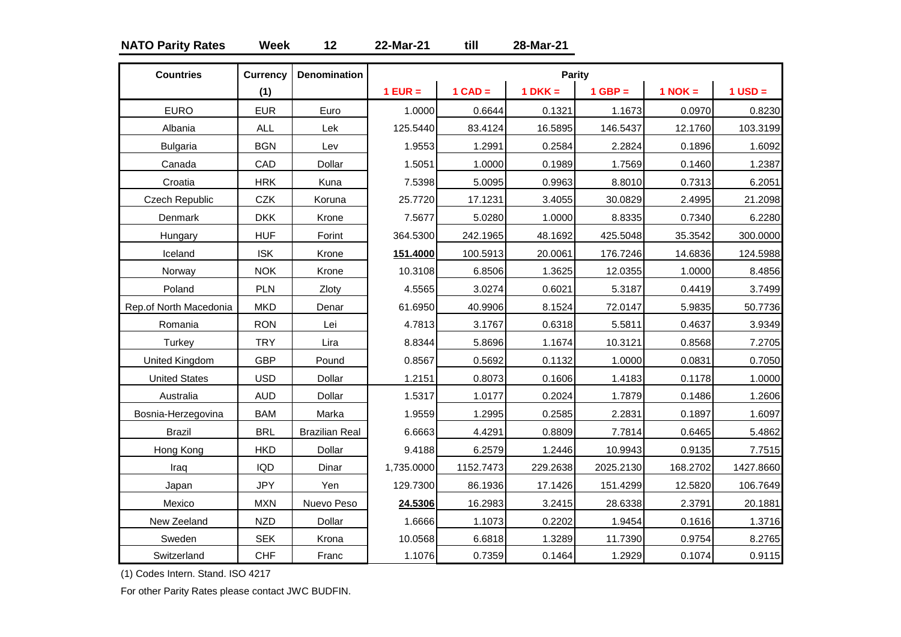### **NATO Parity Rates Week 12 22-Mar-21 till 28-Mar-21**

| <b>Countries</b>       | <b>Currency</b> | <b>Denomination</b>   |            |           | Parity      |           |             |             |
|------------------------|-----------------|-----------------------|------------|-----------|-------------|-----------|-------------|-------------|
|                        | (1)             |                       | $1$ EUR =  | $1$ CAD = | $1$ DKK $=$ | $1$ GBP = | $1$ NOK $=$ | $1$ USD $=$ |
| <b>EURO</b>            | <b>EUR</b>      | Euro                  | 1.0000     | 0.6644    | 0.1321      | 1.1673    | 0.0970      | 0.8230      |
| Albania                | <b>ALL</b>      | Lek                   | 125.5440   | 83.4124   | 16.5895     | 146.5437  | 12.1760     | 103.3199    |
| <b>Bulgaria</b>        | <b>BGN</b>      | Lev                   | 1.9553     | 1.2991    | 0.2584      | 2.2824    | 0.1896      | 1.6092      |
| Canada                 | CAD             | Dollar                | 1.5051     | 1.0000    | 0.1989      | 1.7569    | 0.1460      | 1.2387      |
| Croatia                | <b>HRK</b>      | Kuna                  | 7.5398     | 5.0095    | 0.9963      | 8.8010    | 0.7313      | 6.2051      |
| Czech Republic         | CZK             | Koruna                | 25.7720    | 17.1231   | 3.4055      | 30.0829   | 2.4995      | 21.2098     |
| Denmark                | <b>DKK</b>      | Krone                 | 7.5677     | 5.0280    | 1.0000      | 8.8335    | 0.7340      | 6.2280      |
| Hungary                | <b>HUF</b>      | Forint                | 364.5300   | 242.1965  | 48.1692     | 425.5048  | 35.3542     | 300.0000    |
| Iceland                | <b>ISK</b>      | Krone                 | 151.4000   | 100.5913  | 20.0061     | 176.7246  | 14.6836     | 124.5988    |
| Norway                 | <b>NOK</b>      | Krone                 | 10.3108    | 6.8506    | 1.3625      | 12.0355   | 1.0000      | 8.4856      |
| Poland                 | PLN             | Zloty                 | 4.5565     | 3.0274    | 0.6021      | 5.3187    | 0.4419      | 3.7499      |
| Rep.of North Macedonia | <b>MKD</b>      | Denar                 | 61.6950    | 40.9906   | 8.1524      | 72.0147   | 5.9835      | 50.7736     |
| Romania                | <b>RON</b>      | Lei                   | 4.7813     | 3.1767    | 0.6318      | 5.5811    | 0.4637      | 3.9349      |
| Turkey                 | <b>TRY</b>      | Lira                  | 8.8344     | 5.8696    | 1.1674      | 10.3121   | 0.8568      | 7.2705      |
| United Kingdom         | <b>GBP</b>      | Pound                 | 0.8567     | 0.5692    | 0.1132      | 1.0000    | 0.0831      | 0.7050      |
| <b>United States</b>   | <b>USD</b>      | Dollar                | 1.2151     | 0.8073    | 0.1606      | 1.4183    | 0.1178      | 1.0000      |
| Australia              | <b>AUD</b>      | Dollar                | 1.5317     | 1.0177    | 0.2024      | 1.7879    | 0.1486      | 1.2606      |
| Bosnia-Herzegovina     | <b>BAM</b>      | Marka                 | 1.9559     | 1.2995    | 0.2585      | 2.2831    | 0.1897      | 1.6097      |
| <b>Brazil</b>          | <b>BRL</b>      | <b>Brazilian Real</b> | 6.6663     | 4.4291    | 0.8809      | 7.7814    | 0.6465      | 5.4862      |
| Hong Kong              | <b>HKD</b>      | Dollar                | 9.4188     | 6.2579    | 1.2446      | 10.9943   | 0.9135      | 7.7515      |
| Iraq                   | <b>IQD</b>      | Dinar                 | 1,735.0000 | 1152.7473 | 229.2638    | 2025.2130 | 168.2702    | 1427.8660   |
| Japan                  | <b>JPY</b>      | Yen                   | 129.7300   | 86.1936   | 17.1426     | 151.4299  | 12.5820     | 106.7649    |
| Mexico                 | <b>MXN</b>      | Nuevo Peso            | 24.5306    | 16.2983   | 3.2415      | 28.6338   | 2.3791      | 20.1881     |
| New Zeeland            | <b>NZD</b>      | Dollar                | 1.6666     | 1.1073    | 0.2202      | 1.9454    | 0.1616      | 1.3716      |
| Sweden                 | <b>SEK</b>      | Krona                 | 10.0568    | 6.6818    | 1.3289      | 11.7390   | 0.9754      | 8.2765      |
| Switzerland            | <b>CHF</b>      | Franc                 | 1.1076     | 0.7359    | 0.1464      | 1.2929    | 0.1074      | 0.9115      |

(1) Codes Intern. Stand. ISO 4217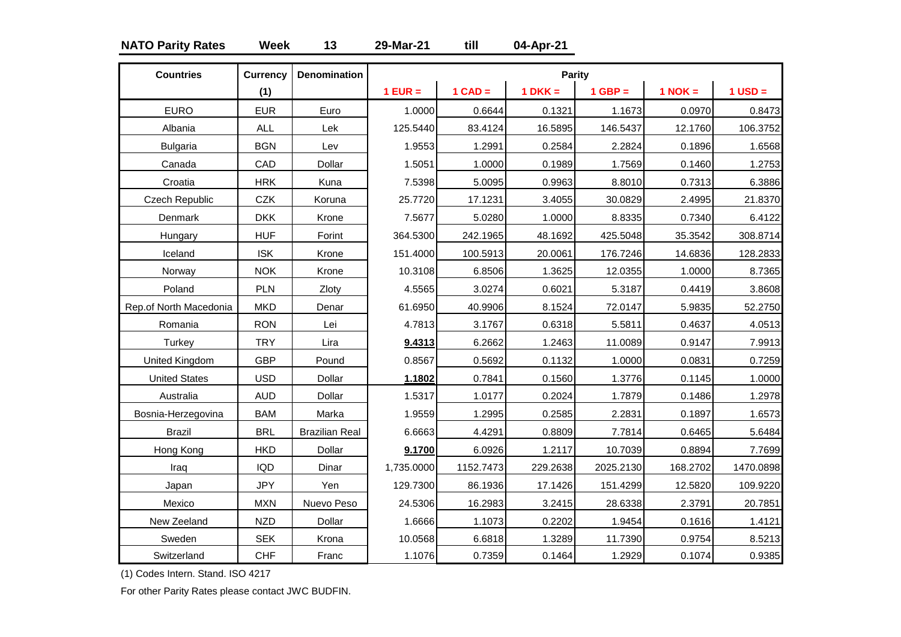### **NATO Parity Rates Week 13 29-Mar-21 till 04-Apr-21**

| <b>Countries</b>       | <b>Currency</b> | <b>Denomination</b>   |            |           | <b>Parity</b> |           |             |             |
|------------------------|-----------------|-----------------------|------------|-----------|---------------|-----------|-------------|-------------|
|                        | (1)             |                       | $1$ EUR =  | $1$ CAD = | $1 DKK =$     | $1$ GBP = | $1$ NOK $=$ | $1$ USD $=$ |
| <b>EURO</b>            | <b>EUR</b>      | Euro                  | 1.0000     | 0.6644    | 0.1321        | 1.1673    | 0.0970      | 0.8473      |
| Albania                | <b>ALL</b>      | Lek                   | 125.5440   | 83.4124   | 16.5895       | 146.5437  | 12.1760     | 106.3752    |
| <b>Bulgaria</b>        | <b>BGN</b>      | Lev                   | 1.9553     | 1.2991    | 0.2584        | 2.2824    | 0.1896      | 1.6568      |
| Canada                 | CAD             | Dollar                | 1.5051     | 1.0000    | 0.1989        | 1.7569    | 0.1460      | 1.2753      |
| Croatia                | <b>HRK</b>      | Kuna                  | 7.5398     | 5.0095    | 0.9963        | 8.8010    | 0.7313      | 6.3886      |
| Czech Republic         | CZK             | Koruna                | 25.7720    | 17.1231   | 3.4055        | 30.0829   | 2.4995      | 21.8370     |
| Denmark                | <b>DKK</b>      | Krone                 | 7.5677     | 5.0280    | 1.0000        | 8.8335    | 0.7340      | 6.4122      |
| Hungary                | <b>HUF</b>      | Forint                | 364.5300   | 242.1965  | 48.1692       | 425.5048  | 35.3542     | 308.8714    |
| Iceland                | <b>ISK</b>      | Krone                 | 151.4000   | 100.5913  | 20.0061       | 176.7246  | 14.6836     | 128.2833    |
| Norway                 | <b>NOK</b>      | Krone                 | 10.3108    | 6.8506    | 1.3625        | 12.0355   | 1.0000      | 8.7365      |
| Poland                 | PLN             | Zloty                 | 4.5565     | 3.0274    | 0.6021        | 5.3187    | 0.4419      | 3.8608      |
| Rep.of North Macedonia | <b>MKD</b>      | Denar                 | 61.6950    | 40.9906   | 8.1524        | 72.0147   | 5.9835      | 52.2750     |
| Romania                | <b>RON</b>      | Lei                   | 4.7813     | 3.1767    | 0.6318        | 5.5811    | 0.4637      | 4.0513      |
| Turkey                 | <b>TRY</b>      | Lira                  | 9.4313     | 6.2662    | 1.2463        | 11.0089   | 0.9147      | 7.9913      |
| United Kingdom         | <b>GBP</b>      | Pound                 | 0.8567     | 0.5692    | 0.1132        | 1.0000    | 0.0831      | 0.7259      |
| <b>United States</b>   | <b>USD</b>      | Dollar                | 1.1802     | 0.7841    | 0.1560        | 1.3776    | 0.1145      | 1.0000      |
| Australia              | <b>AUD</b>      | Dollar                | 1.5317     | 1.0177    | 0.2024        | 1.7879    | 0.1486      | 1.2978      |
| Bosnia-Herzegovina     | <b>BAM</b>      | Marka                 | 1.9559     | 1.2995    | 0.2585        | 2.2831    | 0.1897      | 1.6573      |
| <b>Brazil</b>          | <b>BRL</b>      | <b>Brazilian Real</b> | 6.6663     | 4.4291    | 0.8809        | 7.7814    | 0.6465      | 5.6484      |
| Hong Kong              | <b>HKD</b>      | Dollar                | 9.1700     | 6.0926    | 1.2117        | 10.7039   | 0.8894      | 7.7699      |
| Iraq                   | <b>IQD</b>      | Dinar                 | 1,735.0000 | 1152.7473 | 229.2638      | 2025.2130 | 168.2702    | 1470.0898   |
| Japan                  | <b>JPY</b>      | Yen                   | 129.7300   | 86.1936   | 17.1426       | 151.4299  | 12.5820     | 109.9220    |
| Mexico                 | <b>MXN</b>      | Nuevo Peso            | 24.5306    | 16.2983   | 3.2415        | 28.6338   | 2.3791      | 20.7851     |
| New Zeeland            | <b>NZD</b>      | Dollar                | 1.6666     | 1.1073    | 0.2202        | 1.9454    | 0.1616      | 1.4121      |
| Sweden                 | <b>SEK</b>      | Krona                 | 10.0568    | 6.6818    | 1.3289        | 11.7390   | 0.9754      | 8.5213      |
| Switzerland            | <b>CHF</b>      | Franc                 | 1.1076     | 0.7359    | 0.1464        | 1.2929    | 0.1074      | 0.9385      |

(1) Codes Intern. Stand. ISO 4217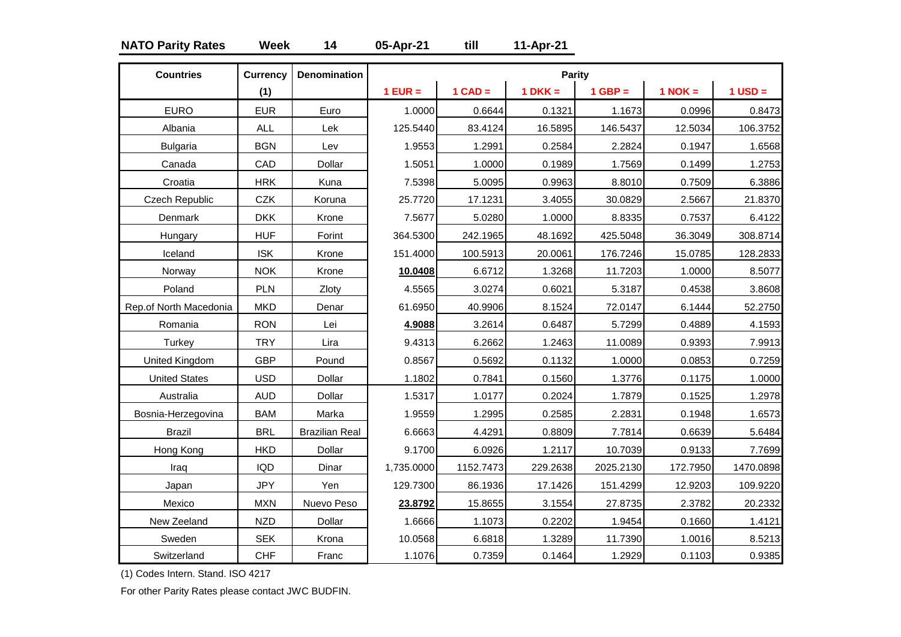### **NATO Parity Rates Week 14 05-Apr-21 till 11-Apr-21**

| <b>Countries</b>       | <b>Currency</b> | <b>Denomination</b>   |            |           | <b>Parity</b> |           |             |           |
|------------------------|-----------------|-----------------------|------------|-----------|---------------|-----------|-------------|-----------|
|                        | (1)             |                       | $1$ EUR =  | $1$ CAD = | $1 DKK =$     | $1$ GBP = | $1$ NOK $=$ | $1$ USD = |
| <b>EURO</b>            | <b>EUR</b>      | Euro                  | 1.0000     | 0.6644    | 0.1321        | 1.1673    | 0.0996      | 0.8473    |
| Albania                | <b>ALL</b>      | Lek                   | 125.5440   | 83.4124   | 16.5895       | 146.5437  | 12.5034     | 106.3752  |
| <b>Bulgaria</b>        | <b>BGN</b>      | Lev                   | 1.9553     | 1.2991    | 0.2584        | 2.2824    | 0.1947      | 1.6568    |
| Canada                 | CAD             | Dollar                | 1.5051     | 1.0000    | 0.1989        | 1.7569    | 0.1499      | 1.2753    |
| Croatia                | <b>HRK</b>      | Kuna                  | 7.5398     | 5.0095    | 0.9963        | 8.8010    | 0.7509      | 6.3886    |
| <b>Czech Republic</b>  | <b>CZK</b>      | Koruna                | 25.7720    | 17.1231   | 3.4055        | 30.0829   | 2.5667      | 21.8370   |
| Denmark                | <b>DKK</b>      | Krone                 | 7.5677     | 5.0280    | 1.0000        | 8.8335    | 0.7537      | 6.4122    |
| Hungary                | <b>HUF</b>      | Forint                | 364.5300   | 242.1965  | 48.1692       | 425.5048  | 36.3049     | 308.8714  |
| Iceland                | <b>ISK</b>      | Krone                 | 151.4000   | 100.5913  | 20.0061       | 176.7246  | 15.0785     | 128.2833  |
| Norway                 | <b>NOK</b>      | Krone                 | 10.0408    | 6.6712    | 1.3268        | 11.7203   | 1.0000      | 8.5077    |
| Poland                 | PLN             | Zloty                 | 4.5565     | 3.0274    | 0.6021        | 5.3187    | 0.4538      | 3.8608    |
| Rep.of North Macedonia | <b>MKD</b>      | Denar                 | 61.6950    | 40.9906   | 8.1524        | 72.0147   | 6.1444      | 52.2750   |
| Romania                | <b>RON</b>      | Lei                   | 4.9088     | 3.2614    | 0.6487        | 5.7299    | 0.4889      | 4.1593    |
| Turkey                 | <b>TRY</b>      | Lira                  | 9.4313     | 6.2662    | 1.2463        | 11.0089   | 0.9393      | 7.9913    |
| United Kingdom         | <b>GBP</b>      | Pound                 | 0.8567     | 0.5692    | 0.1132        | 1.0000    | 0.0853      | 0.7259    |
| <b>United States</b>   | <b>USD</b>      | Dollar                | 1.1802     | 0.7841    | 0.1560        | 1.3776    | 0.1175      | 1.0000    |
| Australia              | <b>AUD</b>      | Dollar                | 1.5317     | 1.0177    | 0.2024        | 1.7879    | 0.1525      | 1.2978    |
| Bosnia-Herzegovina     | <b>BAM</b>      | Marka                 | 1.9559     | 1.2995    | 0.2585        | 2.2831    | 0.1948      | 1.6573    |
| <b>Brazil</b>          | <b>BRL</b>      | <b>Brazilian Real</b> | 6.6663     | 4.4291    | 0.8809        | 7.7814    | 0.6639      | 5.6484    |
| Hong Kong              | <b>HKD</b>      | Dollar                | 9.1700     | 6.0926    | 1.2117        | 10.7039   | 0.9133      | 7.7699    |
| Iraq                   | <b>IQD</b>      | Dinar                 | 1,735.0000 | 1152.7473 | 229.2638      | 2025.2130 | 172.7950    | 1470.0898 |
| Japan                  | <b>JPY</b>      | Yen                   | 129.7300   | 86.1936   | 17.1426       | 151.4299  | 12.9203     | 109.9220  |
| Mexico                 | <b>MXN</b>      | Nuevo Peso            | 23.8792    | 15.8655   | 3.1554        | 27.8735   | 2.3782      | 20.2332   |
| New Zeeland            | <b>NZD</b>      | Dollar                | 1.6666     | 1.1073    | 0.2202        | 1.9454    | 0.1660      | 1.4121    |
| Sweden                 | <b>SEK</b>      | Krona                 | 10.0568    | 6.6818    | 1.3289        | 11.7390   | 1.0016      | 8.5213    |
| Switzerland            | <b>CHF</b>      | Franc                 | 1.1076     | 0.7359    | 0.1464        | 1.2929    | 0.1103      | 0.9385    |

(1) Codes Intern. Stand. ISO 4217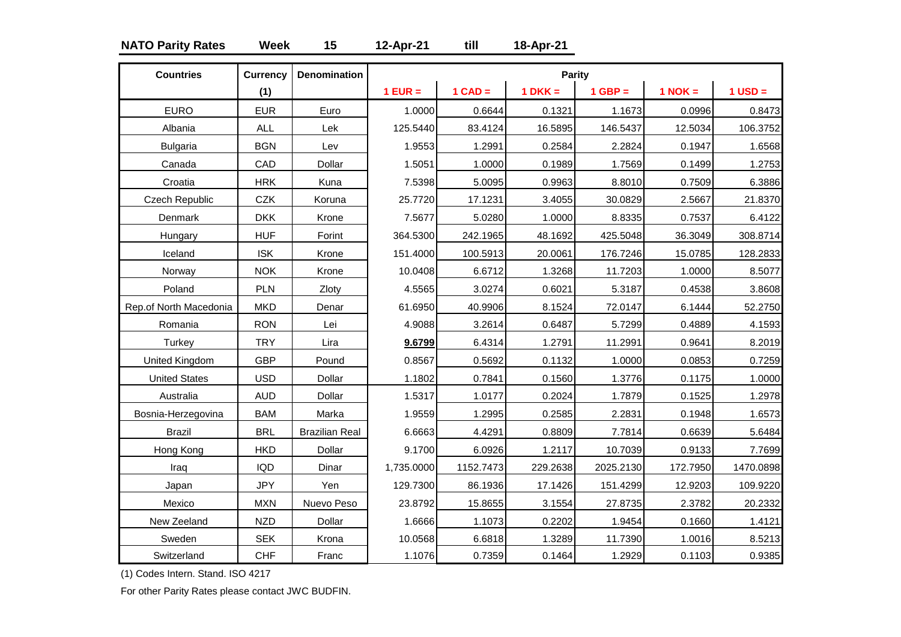### **NATO Parity Rates Week 15 12-Apr-21 till 18-Apr-21**

| <b>Countries</b>       | <b>Currency</b> | <b>Denomination</b>   |            |           | <b>Parity</b> |           |             |             |
|------------------------|-----------------|-----------------------|------------|-----------|---------------|-----------|-------------|-------------|
|                        | (1)             |                       | $1$ EUR =  | $1$ CAD = | $1 DKK =$     | $1$ GBP = | $1$ NOK $=$ | $1$ USD $=$ |
| <b>EURO</b>            | <b>EUR</b>      | Euro                  | 1.0000     | 0.6644    | 0.1321        | 1.1673    | 0.0996      | 0.8473      |
| Albania                | <b>ALL</b>      | Lek                   | 125.5440   | 83.4124   | 16.5895       | 146.5437  | 12.5034     | 106.3752    |
| <b>Bulgaria</b>        | <b>BGN</b>      | Lev                   | 1.9553     | 1.2991    | 0.2584        | 2.2824    | 0.1947      | 1.6568      |
| Canada                 | CAD             | Dollar                | 1.5051     | 1.0000    | 0.1989        | 1.7569    | 0.1499      | 1.2753      |
| Croatia                | <b>HRK</b>      | Kuna                  | 7.5398     | 5.0095    | 0.9963        | 8.8010    | 0.7509      | 6.3886      |
| <b>Czech Republic</b>  | <b>CZK</b>      | Koruna                | 25.7720    | 17.1231   | 3.4055        | 30.0829   | 2.5667      | 21.8370     |
| Denmark                | <b>DKK</b>      | Krone                 | 7.5677     | 5.0280    | 1.0000        | 8.8335    | 0.7537      | 6.4122      |
| Hungary                | <b>HUF</b>      | Forint                | 364.5300   | 242.1965  | 48.1692       | 425.5048  | 36.3049     | 308.8714    |
| Iceland                | <b>ISK</b>      | Krone                 | 151.4000   | 100.5913  | 20.0061       | 176.7246  | 15.0785     | 128.2833    |
| Norway                 | <b>NOK</b>      | Krone                 | 10.0408    | 6.6712    | 1.3268        | 11.7203   | 1.0000      | 8.5077      |
| Poland                 | PLN             | Zloty                 | 4.5565     | 3.0274    | 0.6021        | 5.3187    | 0.4538      | 3.8608      |
| Rep.of North Macedonia | <b>MKD</b>      | Denar                 | 61.6950    | 40.9906   | 8.1524        | 72.0147   | 6.1444      | 52.2750     |
| Romania                | <b>RON</b>      | Lei                   | 4.9088     | 3.2614    | 0.6487        | 5.7299    | 0.4889      | 4.1593      |
| Turkey                 | <b>TRY</b>      | Lira                  | 9.6799     | 6.4314    | 1.2791        | 11.2991   | 0.9641      | 8.2019      |
| United Kingdom         | <b>GBP</b>      | Pound                 | 0.8567     | 0.5692    | 0.1132        | 1.0000    | 0.0853      | 0.7259      |
| <b>United States</b>   | <b>USD</b>      | Dollar                | 1.1802     | 0.7841    | 0.1560        | 1.3776    | 0.1175      | 1.0000      |
| Australia              | <b>AUD</b>      | Dollar                | 1.5317     | 1.0177    | 0.2024        | 1.7879    | 0.1525      | 1.2978      |
| Bosnia-Herzegovina     | <b>BAM</b>      | Marka                 | 1.9559     | 1.2995    | 0.2585        | 2.2831    | 0.1948      | 1.6573      |
| <b>Brazil</b>          | <b>BRL</b>      | <b>Brazilian Real</b> | 6.6663     | 4.4291    | 0.8809        | 7.7814    | 0.6639      | 5.6484      |
| Hong Kong              | <b>HKD</b>      | Dollar                | 9.1700     | 6.0926    | 1.2117        | 10.7039   | 0.9133      | 7.7699      |
| Iraq                   | <b>IQD</b>      | Dinar                 | 1,735.0000 | 1152.7473 | 229.2638      | 2025.2130 | 172.7950    | 1470.0898   |
| Japan                  | <b>JPY</b>      | Yen                   | 129.7300   | 86.1936   | 17.1426       | 151.4299  | 12.9203     | 109.9220    |
| Mexico                 | <b>MXN</b>      | Nuevo Peso            | 23.8792    | 15.8655   | 3.1554        | 27.8735   | 2.3782      | 20.2332     |
| New Zeeland            | <b>NZD</b>      | Dollar                | 1.6666     | 1.1073    | 0.2202        | 1.9454    | 0.1660      | 1.4121      |
| Sweden                 | <b>SEK</b>      | Krona                 | 10.0568    | 6.6818    | 1.3289        | 11.7390   | 1.0016      | 8.5213      |
| Switzerland            | <b>CHF</b>      | Franc                 | 1.1076     | 0.7359    | 0.1464        | 1.2929    | 0.1103      | 0.9385      |

(1) Codes Intern. Stand. ISO 4217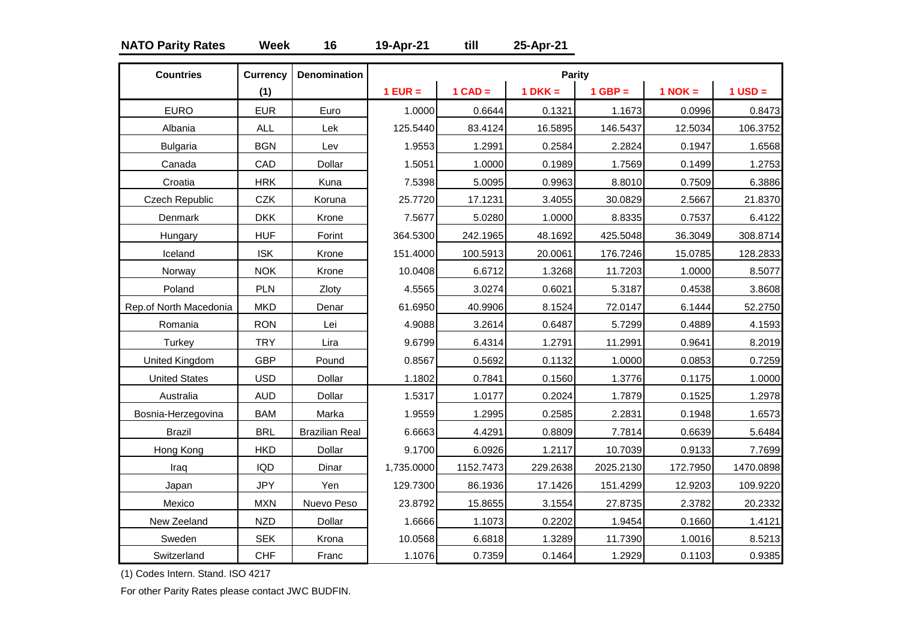### **NATO Parity Rates Week 16 19-Apr-21 till 25-Apr-21**

| <b>Countries</b>       | <b>Currency</b> | <b>Denomination</b>   |            |           | <b>Parity</b> |           |             |             |
|------------------------|-----------------|-----------------------|------------|-----------|---------------|-----------|-------------|-------------|
|                        | (1)             |                       | $1$ EUR =  | $1$ CAD = | $1 DKK =$     | $1$ GBP = | $1$ NOK $=$ | $1$ USD $=$ |
| <b>EURO</b>            | <b>EUR</b>      | Euro                  | 1.0000     | 0.6644    | 0.1321        | 1.1673    | 0.0996      | 0.8473      |
| Albania                | <b>ALL</b>      | Lek                   | 125.5440   | 83.4124   | 16.5895       | 146.5437  | 12.5034     | 106.3752    |
| <b>Bulgaria</b>        | <b>BGN</b>      | Lev                   | 1.9553     | 1.2991    | 0.2584        | 2.2824    | 0.1947      | 1.6568      |
| Canada                 | CAD             | Dollar                | 1.5051     | 1.0000    | 0.1989        | 1.7569    | 0.1499      | 1.2753      |
| Croatia                | <b>HRK</b>      | Kuna                  | 7.5398     | 5.0095    | 0.9963        | 8.8010    | 0.7509      | 6.3886      |
| Czech Republic         | <b>CZK</b>      | Koruna                | 25.7720    | 17.1231   | 3.4055        | 30.0829   | 2.5667      | 21.8370     |
| Denmark                | <b>DKK</b>      | Krone                 | 7.5677     | 5.0280    | 1.0000        | 8.8335    | 0.7537      | 6.4122      |
| Hungary                | <b>HUF</b>      | Forint                | 364.5300   | 242.1965  | 48.1692       | 425.5048  | 36.3049     | 308.8714    |
| Iceland                | <b>ISK</b>      | Krone                 | 151.4000   | 100.5913  | 20.0061       | 176.7246  | 15.0785     | 128.2833    |
| Norway                 | <b>NOK</b>      | Krone                 | 10.0408    | 6.6712    | 1.3268        | 11.7203   | 1.0000      | 8.5077      |
| Poland                 | PLN             | Zloty                 | 4.5565     | 3.0274    | 0.6021        | 5.3187    | 0.4538      | 3.8608      |
| Rep.of North Macedonia | <b>MKD</b>      | Denar                 | 61.6950    | 40.9906   | 8.1524        | 72.0147   | 6.1444      | 52.2750     |
| Romania                | <b>RON</b>      | Lei                   | 4.9088     | 3.2614    | 0.6487        | 5.7299    | 0.4889      | 4.1593      |
| Turkey                 | <b>TRY</b>      | Lira                  | 9.6799     | 6.4314    | 1.2791        | 11.2991   | 0.9641      | 8.2019      |
| United Kingdom         | <b>GBP</b>      | Pound                 | 0.8567     | 0.5692    | 0.1132        | 1.0000    | 0.0853      | 0.7259      |
| <b>United States</b>   | <b>USD</b>      | Dollar                | 1.1802     | 0.7841    | 0.1560        | 1.3776    | 0.1175      | 1.0000      |
| Australia              | <b>AUD</b>      | Dollar                | 1.5317     | 1.0177    | 0.2024        | 1.7879    | 0.1525      | 1.2978      |
| Bosnia-Herzegovina     | <b>BAM</b>      | Marka                 | 1.9559     | 1.2995    | 0.2585        | 2.2831    | 0.1948      | 1.6573      |
| <b>Brazil</b>          | <b>BRL</b>      | <b>Brazilian Real</b> | 6.6663     | 4.4291    | 0.8809        | 7.7814    | 0.6639      | 5.6484      |
| Hong Kong              | <b>HKD</b>      | Dollar                | 9.1700     | 6.0926    | 1.2117        | 10.7039   | 0.9133      | 7.7699      |
| Iraq                   | <b>IQD</b>      | Dinar                 | 1,735.0000 | 1152.7473 | 229.2638      | 2025.2130 | 172.7950    | 1470.0898   |
| Japan                  | <b>JPY</b>      | Yen                   | 129.7300   | 86.1936   | 17.1426       | 151.4299  | 12.9203     | 109.9220    |
| Mexico                 | <b>MXN</b>      | Nuevo Peso            | 23.8792    | 15.8655   | 3.1554        | 27.8735   | 2.3782      | 20.2332     |
| New Zeeland            | <b>NZD</b>      | Dollar                | 1.6666     | 1.1073    | 0.2202        | 1.9454    | 0.1660      | 1.4121      |
| Sweden                 | <b>SEK</b>      | Krona                 | 10.0568    | 6.6818    | 1.3289        | 11.7390   | 1.0016      | 8.5213      |
| Switzerland            | <b>CHF</b>      | Franc                 | 1.1076     | 0.7359    | 0.1464        | 1.2929    | 0.1103      | 0.9385      |

(1) Codes Intern. Stand. ISO 4217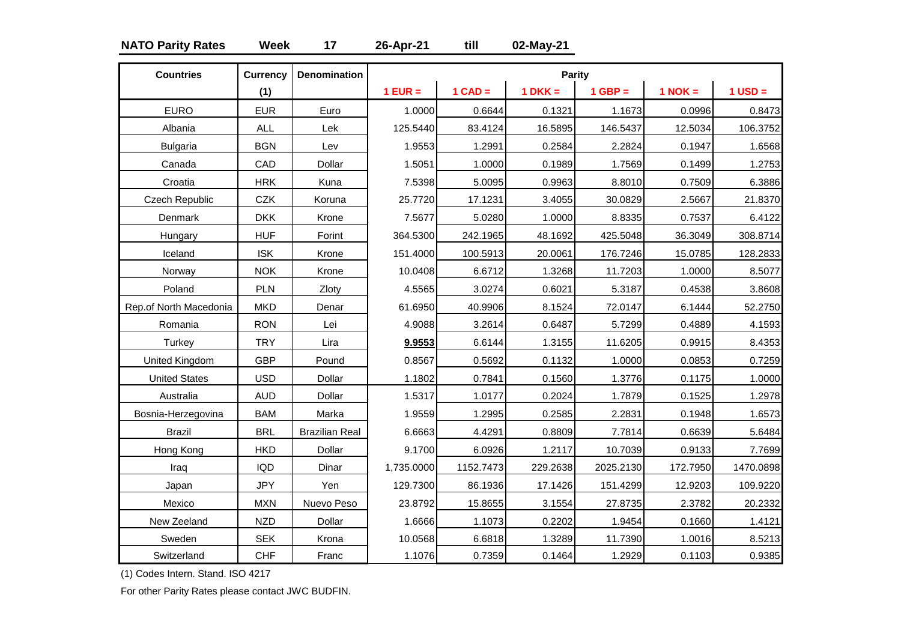### **NATO Parity Rates Week 17 26-Apr-21 till 02-May-21**

| <b>Countries</b>       | <b>Currency</b> | <b>Denomination</b>   |            |           | Parity    |           |             |             |
|------------------------|-----------------|-----------------------|------------|-----------|-----------|-----------|-------------|-------------|
|                        | (1)             |                       | $1$ EUR =  | $1$ CAD = | $1$ DKK = | $1$ GBP = | $1$ NOK $=$ | $1$ USD $=$ |
| <b>EURO</b>            | <b>EUR</b>      | Euro                  | 1.0000     | 0.6644    | 0.1321    | 1.1673    | 0.0996      | 0.8473      |
| Albania                | <b>ALL</b>      | Lek                   | 125.5440   | 83.4124   | 16.5895   | 146.5437  | 12.5034     | 106.3752    |
| <b>Bulgaria</b>        | <b>BGN</b>      | Lev                   | 1.9553     | 1.2991    | 0.2584    | 2.2824    | 0.1947      | 1.6568      |
| Canada                 | CAD             | Dollar                | 1.5051     | 1.0000    | 0.1989    | 1.7569    | 0.1499      | 1.2753      |
| Croatia                | <b>HRK</b>      | Kuna                  | 7.5398     | 5.0095    | 0.9963    | 8.8010    | 0.7509      | 6.3886      |
| <b>Czech Republic</b>  | <b>CZK</b>      | Koruna                | 25.7720    | 17.1231   | 3.4055    | 30.0829   | 2.5667      | 21.8370     |
| Denmark                | <b>DKK</b>      | Krone                 | 7.5677     | 5.0280    | 1.0000    | 8.8335    | 0.7537      | 6.4122      |
| Hungary                | <b>HUF</b>      | Forint                | 364.5300   | 242.1965  | 48.1692   | 425.5048  | 36.3049     | 308.8714    |
| Iceland                | <b>ISK</b>      | Krone                 | 151.4000   | 100.5913  | 20.0061   | 176.7246  | 15.0785     | 128.2833    |
| Norway                 | <b>NOK</b>      | Krone                 | 10.0408    | 6.6712    | 1.3268    | 11.7203   | 1.0000      | 8.5077      |
| Poland                 | PLN             | Zloty                 | 4.5565     | 3.0274    | 0.6021    | 5.3187    | 0.4538      | 3.8608      |
| Rep.of North Macedonia | <b>MKD</b>      | Denar                 | 61.6950    | 40.9906   | 8.1524    | 72.0147   | 6.1444      | 52.2750     |
| Romania                | <b>RON</b>      | Lei                   | 4.9088     | 3.2614    | 0.6487    | 5.7299    | 0.4889      | 4.1593      |
| Turkey                 | <b>TRY</b>      | Lira                  | 9.9553     | 6.6144    | 1.3155    | 11.6205   | 0.9915      | 8.4353      |
| United Kingdom         | <b>GBP</b>      | Pound                 | 0.8567     | 0.5692    | 0.1132    | 1.0000    | 0.0853      | 0.7259      |
| <b>United States</b>   | <b>USD</b>      | Dollar                | 1.1802     | 0.7841    | 0.1560    | 1.3776    | 0.1175      | 1.0000      |
| Australia              | <b>AUD</b>      | Dollar                | 1.5317     | 1.0177    | 0.2024    | 1.7879    | 0.1525      | 1.2978      |
| Bosnia-Herzegovina     | <b>BAM</b>      | Marka                 | 1.9559     | 1.2995    | 0.2585    | 2.2831    | 0.1948      | 1.6573      |
| <b>Brazil</b>          | <b>BRL</b>      | <b>Brazilian Real</b> | 6.6663     | 4.4291    | 0.8809    | 7.7814    | 0.6639      | 5.6484      |
| Hong Kong              | <b>HKD</b>      | Dollar                | 9.1700     | 6.0926    | 1.2117    | 10.7039   | 0.9133      | 7.7699      |
| Iraq                   | <b>IQD</b>      | Dinar                 | 1,735.0000 | 1152.7473 | 229.2638  | 2025.2130 | 172.7950    | 1470.0898   |
| Japan                  | <b>JPY</b>      | Yen                   | 129.7300   | 86.1936   | 17.1426   | 151.4299  | 12.9203     | 109.9220    |
| Mexico                 | <b>MXN</b>      | Nuevo Peso            | 23.8792    | 15.8655   | 3.1554    | 27.8735   | 2.3782      | 20.2332     |
| New Zeeland            | <b>NZD</b>      | Dollar                | 1.6666     | 1.1073    | 0.2202    | 1.9454    | 0.1660      | 1.4121      |
| Sweden                 | <b>SEK</b>      | Krona                 | 10.0568    | 6.6818    | 1.3289    | 11.7390   | 1.0016      | 8.5213      |
| Switzerland            | <b>CHF</b>      | Franc                 | 1.1076     | 0.7359    | 0.1464    | 1.2929    | 0.1103      | 0.9385      |

(1) Codes Intern. Stand. ISO 4217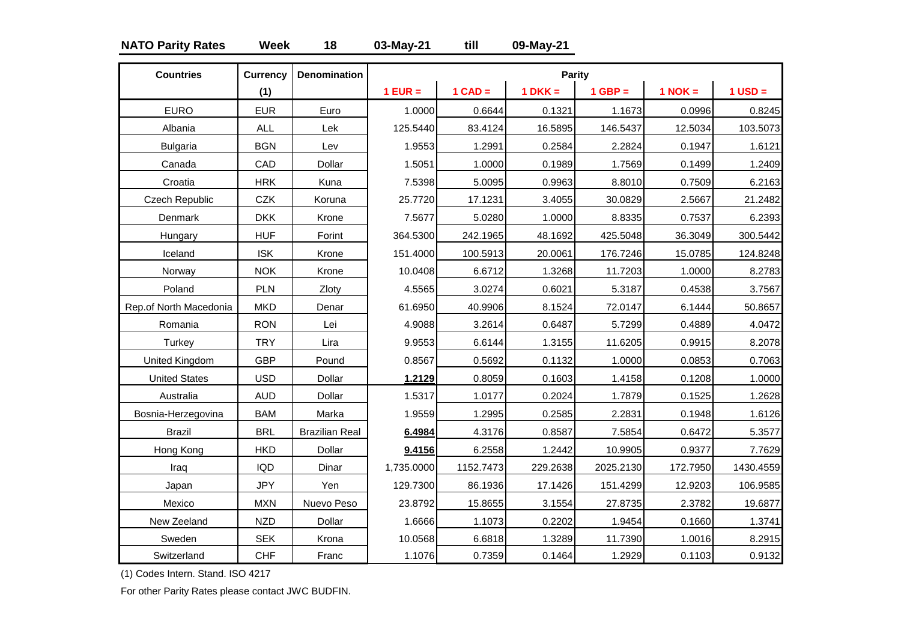### **NATO Parity Rates Week 18 03-May-21 till 09-May-21**

| <b>Countries</b>       | <b>Currency</b> | <b>Denomination</b>   |            |           | <b>Parity</b> |           |             |             |
|------------------------|-----------------|-----------------------|------------|-----------|---------------|-----------|-------------|-------------|
|                        | (1)             |                       | $1$ EUR =  | $1$ CAD = | $1$ DKK =     | $1$ GBP = | $1$ NOK $=$ | $1$ USD $=$ |
| <b>EURO</b>            | <b>EUR</b>      | Euro                  | 1.0000     | 0.6644    | 0.1321        | 1.1673    | 0.0996      | 0.8245      |
| Albania                | <b>ALL</b>      | Lek                   | 125.5440   | 83.4124   | 16.5895       | 146.5437  | 12.5034     | 103.5073    |
| <b>Bulgaria</b>        | <b>BGN</b>      | Lev                   | 1.9553     | 1.2991    | 0.2584        | 2.2824    | 0.1947      | 1.6121      |
| Canada                 | CAD             | Dollar                | 1.5051     | 1.0000    | 0.1989        | 1.7569    | 0.1499      | 1.2409      |
| Croatia                | <b>HRK</b>      | Kuna                  | 7.5398     | 5.0095    | 0.9963        | 8.8010    | 0.7509      | 6.2163      |
| Czech Republic         | CZK             | Koruna                | 25.7720    | 17.1231   | 3.4055        | 30.0829   | 2.5667      | 21.2482     |
| Denmark                | <b>DKK</b>      | Krone                 | 7.5677     | 5.0280    | 1.0000        | 8.8335    | 0.7537      | 6.2393      |
| Hungary                | <b>HUF</b>      | Forint                | 364.5300   | 242.1965  | 48.1692       | 425.5048  | 36.3049     | 300.5442    |
| Iceland                | <b>ISK</b>      | Krone                 | 151.4000   | 100.5913  | 20.0061       | 176.7246  | 15.0785     | 124.8248    |
| Norway                 | <b>NOK</b>      | Krone                 | 10.0408    | 6.6712    | 1.3268        | 11.7203   | 1.0000      | 8.2783      |
| Poland                 | PLN             | Zloty                 | 4.5565     | 3.0274    | 0.6021        | 5.3187    | 0.4538      | 3.7567      |
| Rep.of North Macedonia | <b>MKD</b>      | Denar                 | 61.6950    | 40.9906   | 8.1524        | 72.0147   | 6.1444      | 50.8657     |
| Romania                | <b>RON</b>      | Lei                   | 4.9088     | 3.2614    | 0.6487        | 5.7299    | 0.4889      | 4.0472      |
| Turkey                 | <b>TRY</b>      | Lira                  | 9.9553     | 6.6144    | 1.3155        | 11.6205   | 0.9915      | 8.2078      |
| United Kingdom         | <b>GBP</b>      | Pound                 | 0.8567     | 0.5692    | 0.1132        | 1.0000    | 0.0853      | 0.7063      |
| <b>United States</b>   | <b>USD</b>      | Dollar                | 1.2129     | 0.8059    | 0.1603        | 1.4158    | 0.1208      | 1.0000      |
| Australia              | <b>AUD</b>      | Dollar                | 1.5317     | 1.0177    | 0.2024        | 1.7879    | 0.1525      | 1.2628      |
| Bosnia-Herzegovina     | <b>BAM</b>      | Marka                 | 1.9559     | 1.2995    | 0.2585        | 2.2831    | 0.1948      | 1.6126      |
| <b>Brazil</b>          | <b>BRL</b>      | <b>Brazilian Real</b> | 6.4984     | 4.3176    | 0.8587        | 7.5854    | 0.6472      | 5.3577      |
| Hong Kong              | <b>HKD</b>      | Dollar                | 9.4156     | 6.2558    | 1.2442        | 10.9905   | 0.9377      | 7.7629      |
| Iraq                   | <b>IQD</b>      | Dinar                 | 1,735.0000 | 1152.7473 | 229.2638      | 2025.2130 | 172.7950    | 1430.4559   |
| Japan                  | <b>JPY</b>      | Yen                   | 129.7300   | 86.1936   | 17.1426       | 151.4299  | 12.9203     | 106.9585    |
| Mexico                 | <b>MXN</b>      | Nuevo Peso            | 23.8792    | 15.8655   | 3.1554        | 27.8735   | 2.3782      | 19.6877     |
| New Zeeland            | <b>NZD</b>      | Dollar                | 1.6666     | 1.1073    | 0.2202        | 1.9454    | 0.1660      | 1.3741      |
| Sweden                 | <b>SEK</b>      | Krona                 | 10.0568    | 6.6818    | 1.3289        | 11.7390   | 1.0016      | 8.2915      |
| Switzerland            | <b>CHF</b>      | Franc                 | 1.1076     | 0.7359    | 0.1464        | 1.2929    | 0.1103      | 0.9132      |

(1) Codes Intern. Stand. ISO 4217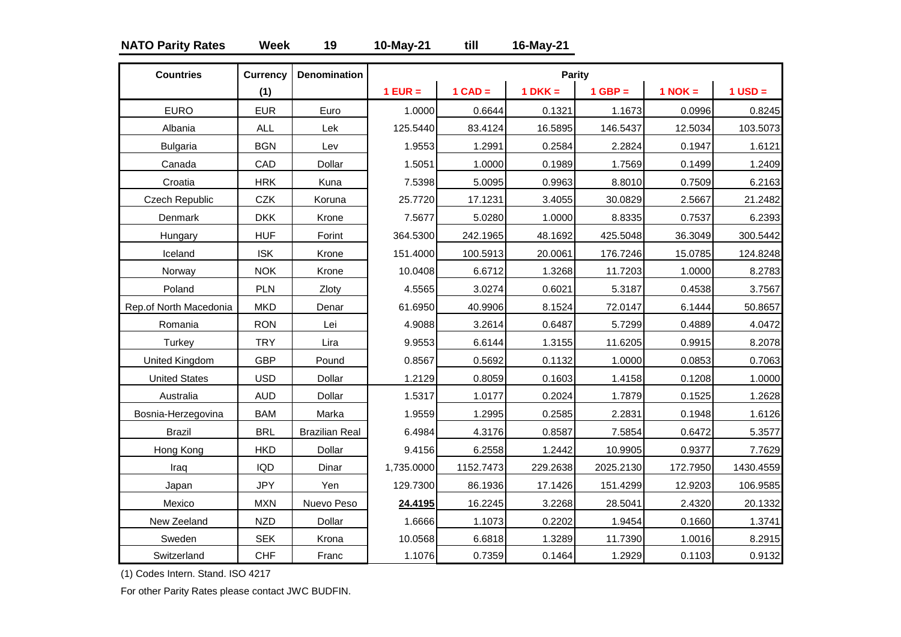### **NATO Parity Rates Week 19 10-May-21 till 16-May-21**

| <b>Countries</b>       | <b>Currency</b> | <b>Denomination</b>   |            |           | <b>Parity</b> |           |             |             |
|------------------------|-----------------|-----------------------|------------|-----------|---------------|-----------|-------------|-------------|
|                        | (1)             |                       | $1$ EUR =  | $1$ CAD = | $1$ DKK =     | $1$ GBP = | $1$ NOK $=$ | $1$ USD $=$ |
| <b>EURO</b>            | <b>EUR</b>      | Euro                  | 1.0000     | 0.6644    | 0.1321        | 1.1673    | 0.0996      | 0.8245      |
| Albania                | <b>ALL</b>      | Lek                   | 125.5440   | 83.4124   | 16.5895       | 146.5437  | 12.5034     | 103.5073    |
| <b>Bulgaria</b>        | <b>BGN</b>      | Lev                   | 1.9553     | 1.2991    | 0.2584        | 2.2824    | 0.1947      | 1.6121      |
| Canada                 | CAD             | Dollar                | 1.5051     | 1.0000    | 0.1989        | 1.7569    | 0.1499      | 1.2409      |
| Croatia                | <b>HRK</b>      | Kuna                  | 7.5398     | 5.0095    | 0.9963        | 8.8010    | 0.7509      | 6.2163      |
| Czech Republic         | CZK             | Koruna                | 25.7720    | 17.1231   | 3.4055        | 30.0829   | 2.5667      | 21.2482     |
| Denmark                | <b>DKK</b>      | Krone                 | 7.5677     | 5.0280    | 1.0000        | 8.8335    | 0.7537      | 6.2393      |
| Hungary                | <b>HUF</b>      | Forint                | 364.5300   | 242.1965  | 48.1692       | 425.5048  | 36.3049     | 300.5442    |
| Iceland                | <b>ISK</b>      | Krone                 | 151.4000   | 100.5913  | 20.0061       | 176.7246  | 15.0785     | 124.8248    |
| Norway                 | <b>NOK</b>      | Krone                 | 10.0408    | 6.6712    | 1.3268        | 11.7203   | 1.0000      | 8.2783      |
| Poland                 | PLN             | Zloty                 | 4.5565     | 3.0274    | 0.6021        | 5.3187    | 0.4538      | 3.7567      |
| Rep.of North Macedonia | <b>MKD</b>      | Denar                 | 61.6950    | 40.9906   | 8.1524        | 72.0147   | 6.1444      | 50.8657     |
| Romania                | <b>RON</b>      | Lei                   | 4.9088     | 3.2614    | 0.6487        | 5.7299    | 0.4889      | 4.0472      |
| Turkey                 | <b>TRY</b>      | Lira                  | 9.9553     | 6.6144    | 1.3155        | 11.6205   | 0.9915      | 8.2078      |
| United Kingdom         | <b>GBP</b>      | Pound                 | 0.8567     | 0.5692    | 0.1132        | 1.0000    | 0.0853      | 0.7063      |
| <b>United States</b>   | <b>USD</b>      | Dollar                | 1.2129     | 0.8059    | 0.1603        | 1.4158    | 0.1208      | 1.0000      |
| Australia              | <b>AUD</b>      | Dollar                | 1.5317     | 1.0177    | 0.2024        | 1.7879    | 0.1525      | 1.2628      |
| Bosnia-Herzegovina     | <b>BAM</b>      | Marka                 | 1.9559     | 1.2995    | 0.2585        | 2.2831    | 0.1948      | 1.6126      |
| <b>Brazil</b>          | <b>BRL</b>      | <b>Brazilian Real</b> | 6.4984     | 4.3176    | 0.8587        | 7.5854    | 0.6472      | 5.3577      |
| Hong Kong              | <b>HKD</b>      | Dollar                | 9.4156     | 6.2558    | 1.2442        | 10.9905   | 0.9377      | 7.7629      |
| Iraq                   | <b>IQD</b>      | Dinar                 | 1,735.0000 | 1152.7473 | 229.2638      | 2025.2130 | 172.7950    | 1430.4559   |
| Japan                  | <b>JPY</b>      | Yen                   | 129.7300   | 86.1936   | 17.1426       | 151.4299  | 12.9203     | 106.9585    |
| Mexico                 | <b>MXN</b>      | Nuevo Peso            | 24.4195    | 16.2245   | 3.2268        | 28.5041   | 2.4320      | 20.1332     |
| New Zeeland            | <b>NZD</b>      | Dollar                | 1.6666     | 1.1073    | 0.2202        | 1.9454    | 0.1660      | 1.3741      |
| Sweden                 | <b>SEK</b>      | Krona                 | 10.0568    | 6.6818    | 1.3289        | 11.7390   | 1.0016      | 8.2915      |
| Switzerland            | <b>CHF</b>      | Franc                 | 1.1076     | 0.7359    | 0.1464        | 1.2929    | 0.1103      | 0.9132      |

(1) Codes Intern. Stand. ISO 4217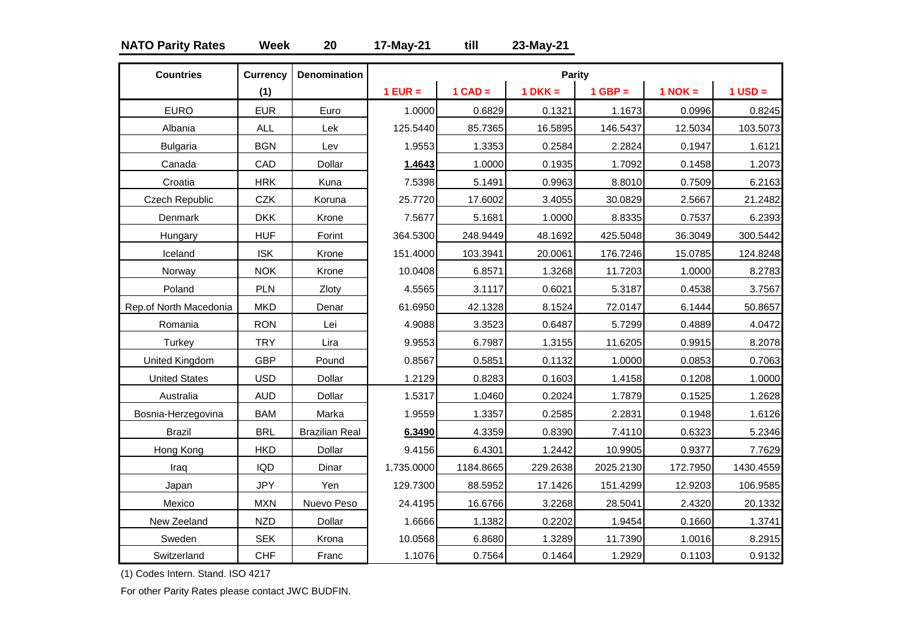### **NATO Parity Rates Week 20 17-May-21 till 23-May-21**

| <b>Countries</b>       | <b>Currency</b> | <b>Denomination</b>   |            |           | <b>Parity</b> |           |             |             |
|------------------------|-----------------|-----------------------|------------|-----------|---------------|-----------|-------------|-------------|
|                        | (1)             |                       | $1$ EUR =  | $1$ CAD = | $1$ DKK =     | $1$ GBP = | $1$ NOK $=$ | $1$ USD $=$ |
| <b>EURO</b>            | <b>EUR</b>      | Euro                  | 1.0000     | 0.6829    | 0.1321        | 1.1673    | 0.0996      | 0.8245      |
| Albania                | <b>ALL</b>      | Lek                   | 125.5440   | 85.7365   | 16.5895       | 146.5437  | 12.5034     | 103.5073    |
| <b>Bulgaria</b>        | <b>BGN</b>      | Lev                   | 1.9553     | 1.3353    | 0.2584        | 2.2824    | 0.1947      | 1.6121      |
| Canada                 | CAD             | Dollar                | 1.4643     | 1.0000    | 0.1935        | 1.7092    | 0.1458      | 1.2073      |
| Croatia                | <b>HRK</b>      | Kuna                  | 7.5398     | 5.1491    | 0.9963        | 8.8010    | 0.7509      | 6.2163      |
| Czech Republic         | <b>CZK</b>      | Koruna                | 25.7720    | 17.6002   | 3.4055        | 30.0829   | 2.5667      | 21.2482     |
| Denmark                | <b>DKK</b>      | Krone                 | 7.5677     | 5.1681    | 1.0000        | 8.8335    | 0.7537      | 6.2393      |
| Hungary                | <b>HUF</b>      | Forint                | 364.5300   | 248.9449  | 48.1692       | 425.5048  | 36.3049     | 300.5442    |
| Iceland                | <b>ISK</b>      | Krone                 | 151.4000   | 103.3941  | 20.0061       | 176.7246  | 15.0785     | 124.8248    |
| Norway                 | <b>NOK</b>      | Krone                 | 10.0408    | 6.8571    | 1.3268        | 11.7203   | 1.0000      | 8.2783      |
| Poland                 | <b>PLN</b>      | Zloty                 | 4.5565     | 3.1117    | 0.6021        | 5.3187    | 0.4538      | 3.7567      |
| Rep.of North Macedonia | <b>MKD</b>      | Denar                 | 61.6950    | 42.1328   | 8.1524        | 72.0147   | 6.1444      | 50.8657     |
| Romania                | <b>RON</b>      | Lei                   | 4.9088     | 3.3523    | 0.6487        | 5.7299    | 0.4889      | 4.0472      |
| Turkey                 | <b>TRY</b>      | Lira                  | 9.9553     | 6.7987    | 1.3155        | 11.6205   | 0.9915      | 8.2078      |
| United Kingdom         | <b>GBP</b>      | Pound                 | 0.8567     | 0.5851    | 0.1132        | 1.0000    | 0.0853      | 0.7063      |
| <b>United States</b>   | <b>USD</b>      | Dollar                | 1.2129     | 0.8283    | 0.1603        | 1.4158    | 0.1208      | 1.0000      |
| Australia              | <b>AUD</b>      | Dollar                | 1.5317     | 1.0460    | 0.2024        | 1.7879    | 0.1525      | 1.2628      |
| Bosnia-Herzegovina     | <b>BAM</b>      | Marka                 | 1.9559     | 1.3357    | 0.2585        | 2.2831    | 0.1948      | 1.6126      |
| <b>Brazil</b>          | <b>BRL</b>      | <b>Brazilian Real</b> | 6.3490     | 4.3359    | 0.8390        | 7.4110    | 0.6323      | 5.2346      |
| Hong Kong              | <b>HKD</b>      | Dollar                | 9.4156     | 6.4301    | 1.2442        | 10.9905   | 0.9377      | 7.7629      |
| Iraq                   | <b>IQD</b>      | Dinar                 | 1,735.0000 | 1184.8665 | 229.2638      | 2025.2130 | 172.7950    | 1430.4559   |
| Japan                  | <b>JPY</b>      | Yen                   | 129.7300   | 88.5952   | 17.1426       | 151.4299  | 12.9203     | 106.9585    |
| Mexico                 | <b>MXN</b>      | Nuevo Peso            | 24.4195    | 16.6766   | 3.2268        | 28.5041   | 2.4320      | 20.1332     |
| New Zeeland            | <b>NZD</b>      | Dollar                | 1.6666     | 1.1382    | 0.2202        | 1.9454    | 0.1660      | 1.3741      |
| Sweden                 | <b>SEK</b>      | Krona                 | 10.0568    | 6.8680    | 1.3289        | 11.7390   | 1.0016      | 8.2915      |
| Switzerland            | <b>CHF</b>      | Franc                 | 1.1076     | 0.7564    | 0.1464        | 1.2929    | 0.1103      | 0.9132      |

(1) Codes Intern. Stand. ISO 4217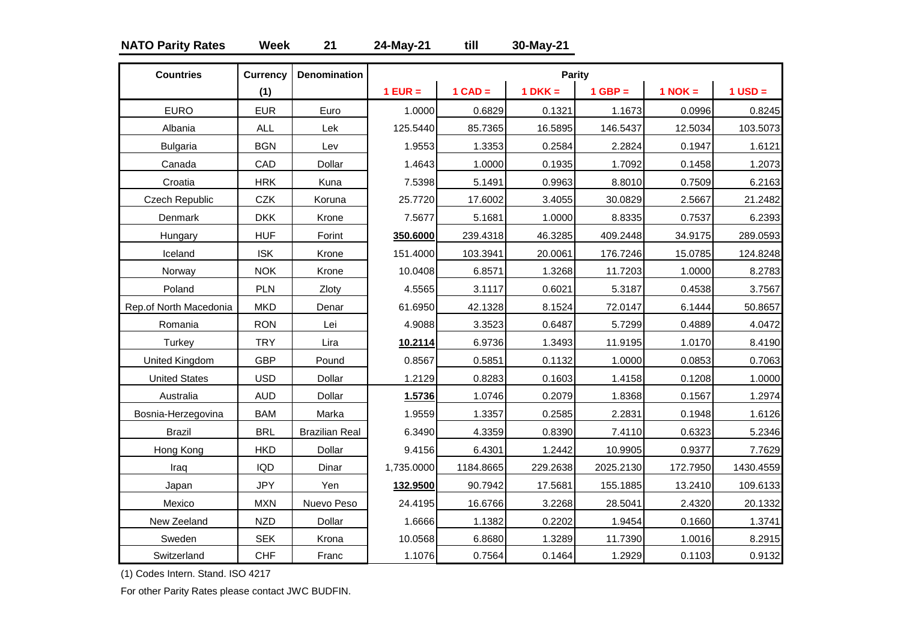### **NATO Parity Rates Week 21 24-May-21 till 30-May-21**

| <b>Countries</b>       | <b>Currency</b> | <b>Denomination</b>   |            |           | Parity    |           |             |             |
|------------------------|-----------------|-----------------------|------------|-----------|-----------|-----------|-------------|-------------|
|                        | (1)             |                       | $1$ EUR =  | $1$ CAD = | $1 DKK =$ | $1$ GBP = | $1$ NOK $=$ | $1$ USD $=$ |
| <b>EURO</b>            | <b>EUR</b>      | Euro                  | 1.0000     | 0.6829    | 0.1321    | 1.1673    | 0.0996      | 0.8245      |
| Albania                | <b>ALL</b>      | Lek                   | 125.5440   | 85.7365   | 16.5895   | 146.5437  | 12.5034     | 103.5073    |
| <b>Bulgaria</b>        | <b>BGN</b>      | Lev                   | 1.9553     | 1.3353    | 0.2584    | 2.2824    | 0.1947      | 1.6121      |
| Canada                 | CAD             | Dollar                | 1.4643     | 1.0000    | 0.1935    | 1.7092    | 0.1458      | 1.2073      |
| Croatia                | <b>HRK</b>      | Kuna                  | 7.5398     | 5.1491    | 0.9963    | 8.8010    | 0.7509      | 6.2163      |
| Czech Republic         | <b>CZK</b>      | Koruna                | 25.7720    | 17.6002   | 3.4055    | 30.0829   | 2.5667      | 21.2482     |
| Denmark                | <b>DKK</b>      | Krone                 | 7.5677     | 5.1681    | 1.0000    | 8.8335    | 0.7537      | 6.2393      |
| Hungary                | <b>HUF</b>      | Forint                | 350.6000   | 239.4318  | 46.3285   | 409.2448  | 34.9175     | 289.0593    |
| Iceland                | <b>ISK</b>      | Krone                 | 151.4000   | 103.3941  | 20.0061   | 176.7246  | 15.0785     | 124.8248    |
| Norway                 | <b>NOK</b>      | Krone                 | 10.0408    | 6.8571    | 1.3268    | 11.7203   | 1.0000      | 8.2783      |
| Poland                 | PLN             | Zloty                 | 4.5565     | 3.1117    | 0.6021    | 5.3187    | 0.4538      | 3.7567      |
| Rep.of North Macedonia | <b>MKD</b>      | Denar                 | 61.6950    | 42.1328   | 8.1524    | 72.0147   | 6.1444      | 50.8657     |
| Romania                | <b>RON</b>      | Lei                   | 4.9088     | 3.3523    | 0.6487    | 5.7299    | 0.4889      | 4.0472      |
| Turkey                 | <b>TRY</b>      | Lira                  | 10.2114    | 6.9736    | 1.3493    | 11.9195   | 1.0170      | 8.4190      |
| United Kingdom         | <b>GBP</b>      | Pound                 | 0.8567     | 0.5851    | 0.1132    | 1.0000    | 0.0853      | 0.7063      |
| <b>United States</b>   | <b>USD</b>      | Dollar                | 1.2129     | 0.8283    | 0.1603    | 1.4158    | 0.1208      | 1.0000      |
| Australia              | <b>AUD</b>      | Dollar                | 1.5736     | 1.0746    | 0.2079    | 1.8368    | 0.1567      | 1.2974      |
| Bosnia-Herzegovina     | <b>BAM</b>      | Marka                 | 1.9559     | 1.3357    | 0.2585    | 2.2831    | 0.1948      | 1.6126      |
| <b>Brazil</b>          | <b>BRL</b>      | <b>Brazilian Real</b> | 6.3490     | 4.3359    | 0.8390    | 7.4110    | 0.6323      | 5.2346      |
| Hong Kong              | <b>HKD</b>      | Dollar                | 9.4156     | 6.4301    | 1.2442    | 10.9905   | 0.9377      | 7.7629      |
| Iraq                   | <b>IQD</b>      | Dinar                 | 1,735.0000 | 1184.8665 | 229.2638  | 2025.2130 | 172.7950    | 1430.4559   |
| Japan                  | <b>JPY</b>      | Yen                   | 132.9500   | 90.7942   | 17.5681   | 155.1885  | 13.2410     | 109.6133    |
| Mexico                 | <b>MXN</b>      | Nuevo Peso            | 24.4195    | 16.6766   | 3.2268    | 28.5041   | 2.4320      | 20.1332     |
| New Zeeland            | <b>NZD</b>      | Dollar                | 1.6666     | 1.1382    | 0.2202    | 1.9454    | 0.1660      | 1.3741      |
| Sweden                 | <b>SEK</b>      | Krona                 | 10.0568    | 6.8680    | 1.3289    | 11.7390   | 1.0016      | 8.2915      |
| Switzerland            | <b>CHF</b>      | Franc                 | 1.1076     | 0.7564    | 0.1464    | 1.2929    | 0.1103      | 0.9132      |

(1) Codes Intern. Stand. ISO 4217